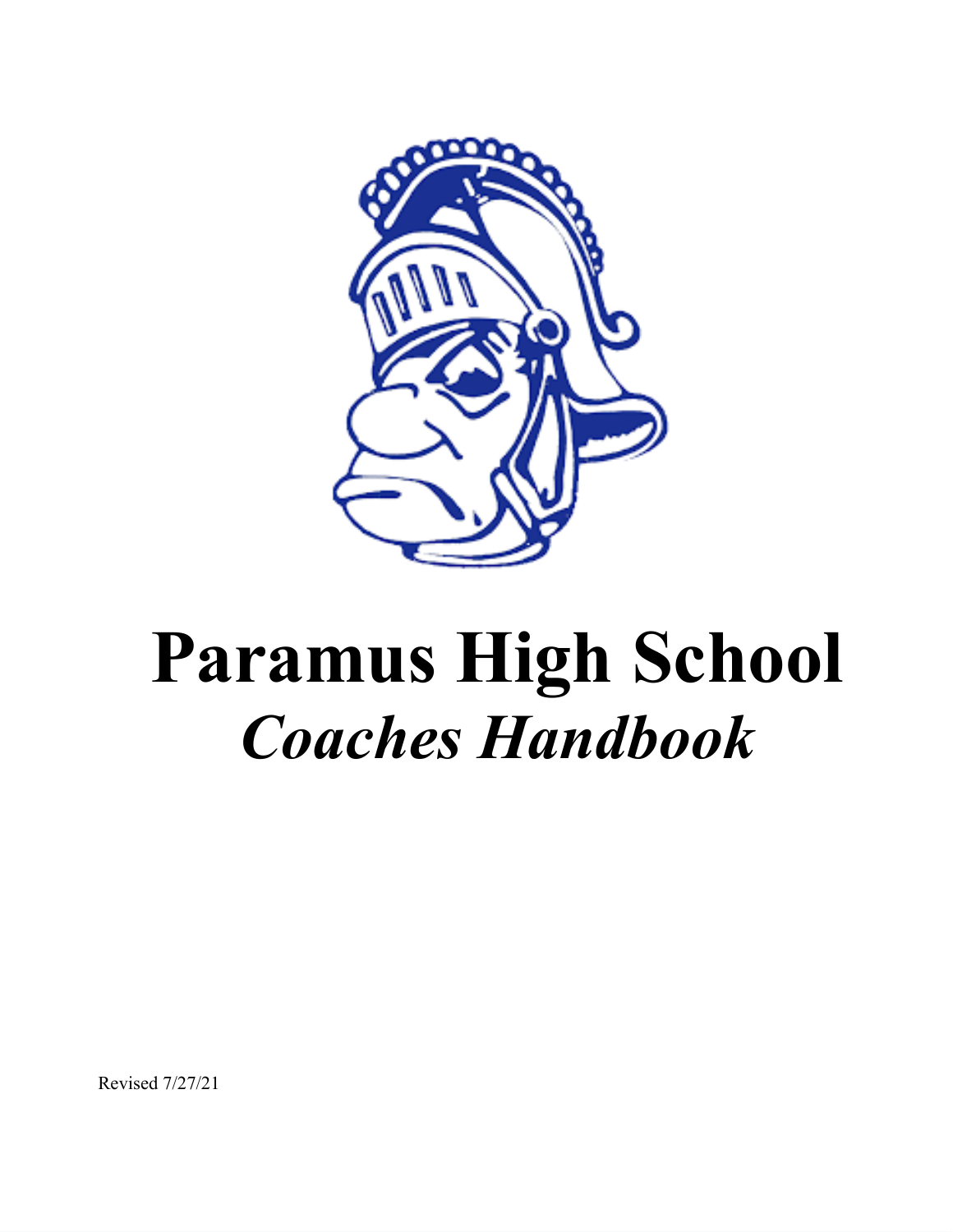

# **Paramus High School** *Coaches Handbook*

Revised 7/27/21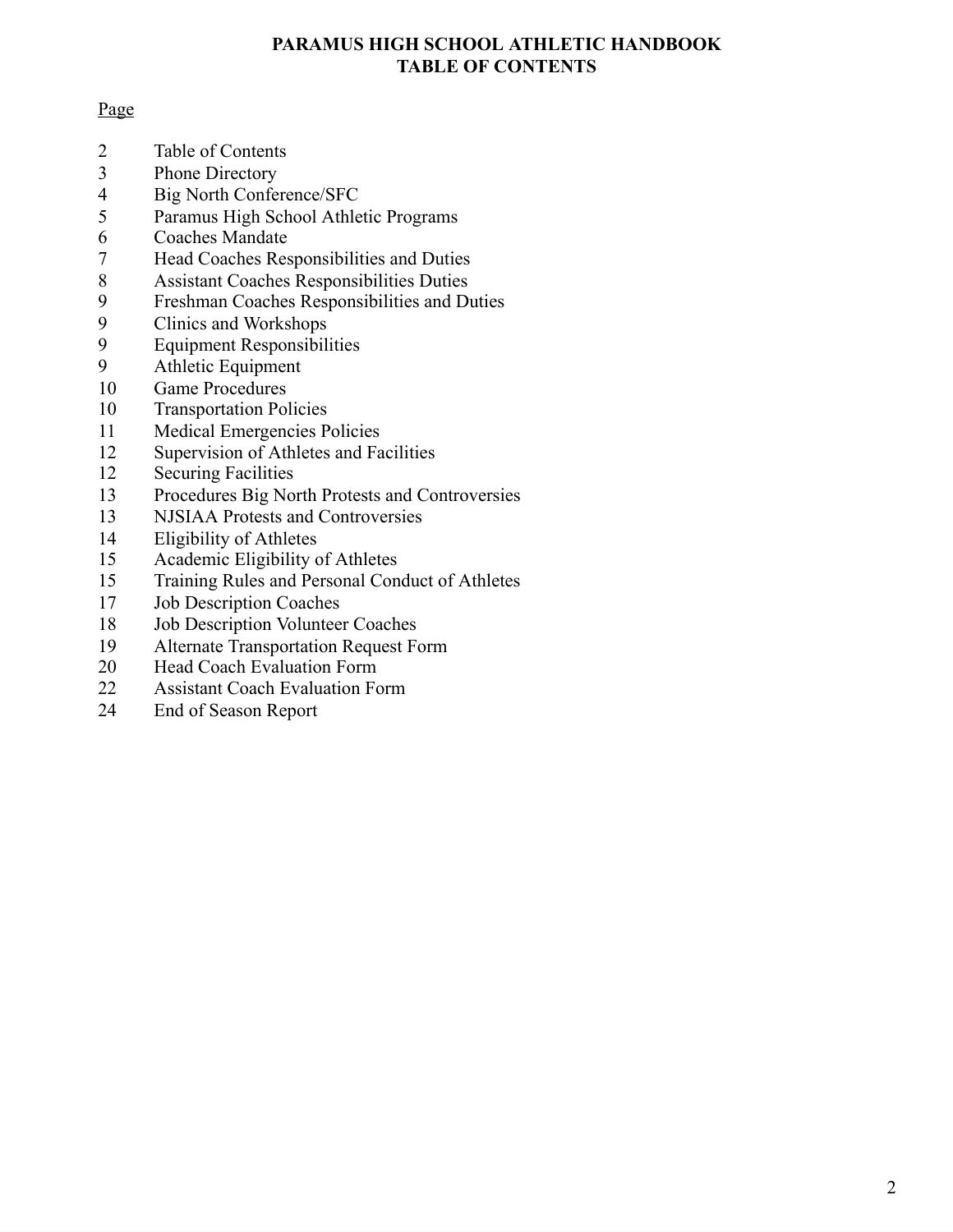#### **PARAMUS HIGH SCHOOL ATHLETIC HANDBOOK TABLE OF CONTENTS**

#### Page

- Table of Contents
- Phone Directory
- Big North Conference/SFC
- Paramus High School Athletic Programs
- 6 Coaches Mandate<br>7 Head Coaches Res
- Head Coaches Responsibilities and Duties
- 8 Assistant Coaches Responsibilities Duties<br>9 Freshman Coaches Responsibilities and Du
- Freshman Coaches Responsibilities and Duties
- 9 Clinics and Workshops<br>9 Equipment Responsibil
- 9 Equipment Responsibilities<br>9 Athletic Equipment
- Athletic Equipment
- Game Procedures
- Transportation Policies
- Medical Emergencies Policies
- Supervision of Athletes and Facilities
- Securing Facilities
- Procedures Big North Protests and Controversies
- NJSIAA Protests and Controversies
- Eligibility of Athletes
- Academic Eligibility of Athletes
- Training Rules and Personal Conduct of Athletes
- Job Description Coaches
- Job Description Volunteer Coaches
- Alternate Transportation Request Form
- Head Coach Evaluation Form
- Assistant Coach Evaluation Form
- End of Season Report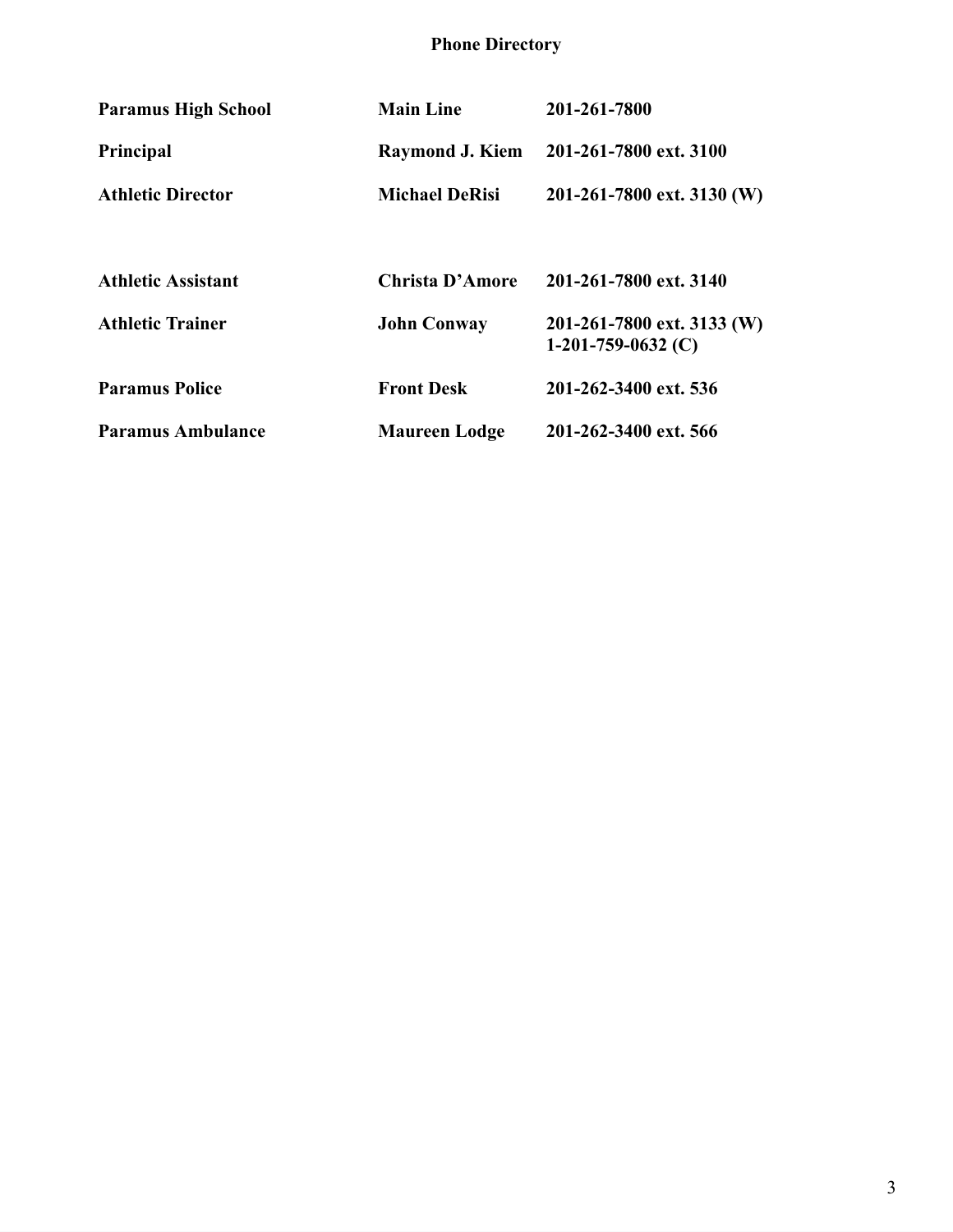#### **Phone Directory**

| <b>Paramus High School</b> | <b>Main Line</b>       | 201-261-7800                                       |
|----------------------------|------------------------|----------------------------------------------------|
| <b>Principal</b>           | <b>Raymond J. Kiem</b> | 201-261-7800 ext. 3100                             |
| <b>Athletic Director</b>   | <b>Michael DeRisi</b>  | 201-261-7800 ext. 3130 (W)                         |
|                            |                        |                                                    |
| <b>Athletic Assistant</b>  | <b>Christa D'Amore</b> | 201-261-7800 ext. 3140                             |
| <b>Athletic Trainer</b>    | <b>John Conway</b>     | 201-261-7800 ext. 3133 (W)<br>1-201-759-0632 $(C)$ |
| <b>Paramus Police</b>      | <b>Front Desk</b>      | 201-262-3400 ext. 536                              |
| <b>Paramus Ambulance</b>   | <b>Maureen Lodge</b>   | 201-262-3400 ext. 566                              |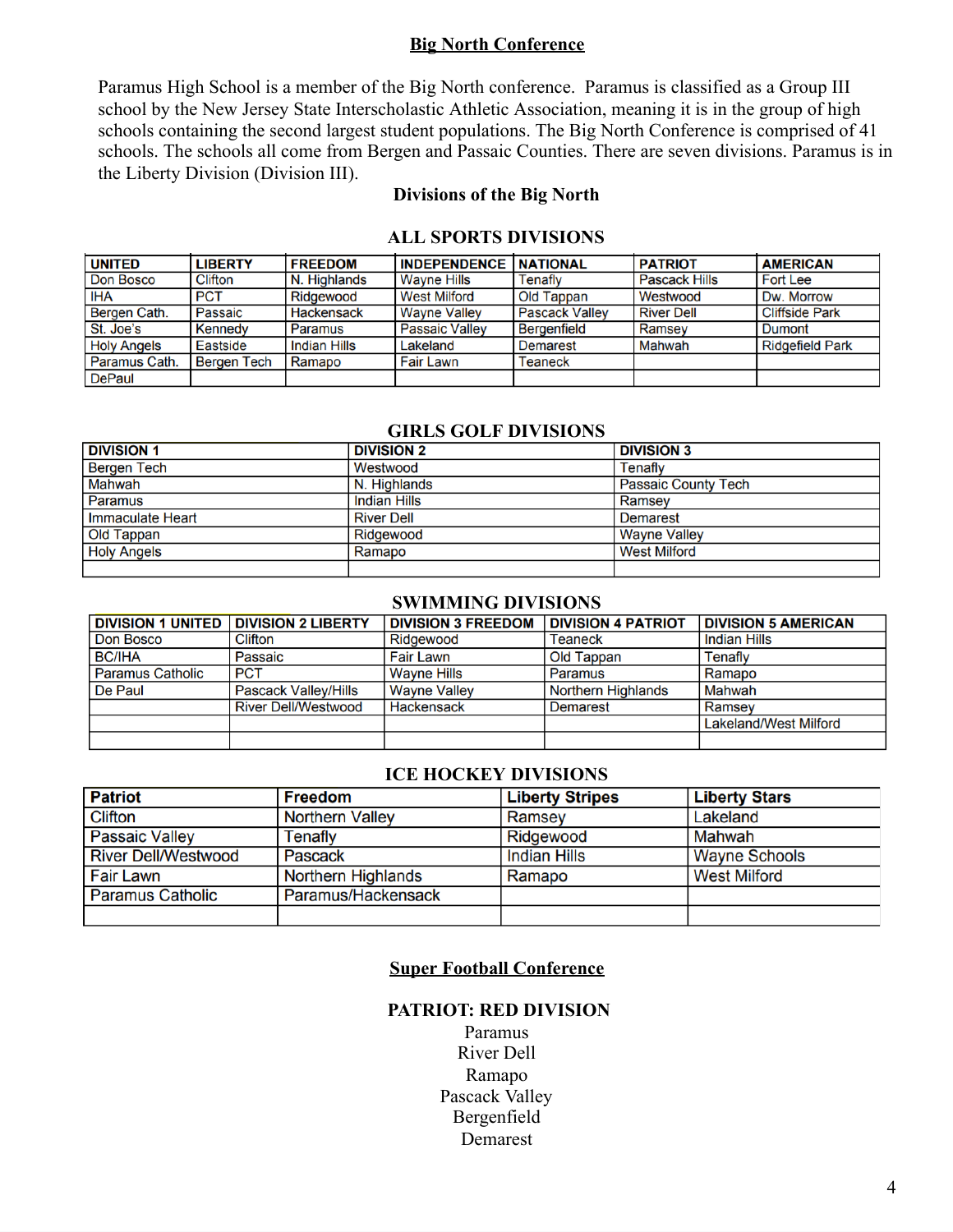#### **Big North Conference**

Paramus High School is a member of the Big North conference. Paramus is classified as a Group III school by the New Jersey State Interscholastic Athletic Association, meaning it is in the group of high schools containing the second largest student populations. The Big North Conference is comprised of 41 schools. The schools all come from Bergen and Passaic Counties. There are seven divisions. Paramus is in the Liberty Division (Division III).

#### **Divisions of the Big North**

| <b>UNITED</b>      | <b>LIBERTY</b> | <b>FREEDOM</b>      | <b>INDEPENDENCE</b>   | <b>NATIONAL</b>       | <b>PATRIOT</b>       | <b>AMERICAN</b>        |
|--------------------|----------------|---------------------|-----------------------|-----------------------|----------------------|------------------------|
| Don Bosco          | Clifton        | N. Highlands        | <b>Wavne Hills</b>    | Tenafly               | <b>Pascack Hills</b> | <b>Fort Lee</b>        |
| <b>IHA</b>         | <b>PCT</b>     | Ridgewood           | <b>West Milford</b>   | Old Tappan            | Westwood             | Dw. Morrow             |
| Bergen Cath.       | Passaic        | <b>Hackensack</b>   | <b>Wayne Valley</b>   | <b>Pascack Valley</b> | <b>River Dell</b>    | <b>Cliffside Park</b>  |
| St. Joe's          | <b>Kennedy</b> | Paramus             | <b>Passaic Vallev</b> | <b>Bergenfield</b>    | Ramsey               | Dumont                 |
| <b>Holy Angels</b> | Eastside       | <b>Indian Hills</b> | Lakeland              | <b>Demarest</b>       | Mahwah               | <b>Ridgefield Park</b> |
| Paramus Cath.      | Bergen Tech    | Ramapo              | <b>Fair Lawn</b>      | <b>Teaneck</b>        |                      |                        |
| <b>DePaul</b>      |                |                     |                       |                       |                      |                        |

#### **ALL SPORTS DIVISIONS**

#### **GIRLS GOLF DIVISIONS**

| <b>DIVISION 1</b>  | <b>DIVISION 2</b>   | <b>DIVISION 3</b>          |
|--------------------|---------------------|----------------------------|
| <b>Bergen Tech</b> | Westwood            | Tenaflv                    |
| Mahwah             | N. Highlands        | <b>Passaic County Tech</b> |
| Paramus            | <b>Indian Hills</b> | Ramsev                     |
| Immaculate Heart   | <b>River Dell</b>   | <b>Demarest</b>            |
| <b>Old Tappan</b>  | Ridgewood           | <b>Wayne Valley</b>        |
| <b>Holy Angels</b> | Ramapo              | <b>West Milford</b>        |
|                    |                     |                            |

#### **SWIMMING DIVISIONS**

| <b>DIVISION 1 UNITED</b> | <b>DIVISION 2 LIBERTY</b>   | <b>DIVISION 3 FREEDOM</b> | <b>DIVISION 4 PATRIOT</b> | <b>DIVISION 5 AMERICAN</b>   |
|--------------------------|-----------------------------|---------------------------|---------------------------|------------------------------|
| Don Bosco                | Clifton                     | Ridgewood                 | Teaneck                   | <b>Indian Hills</b>          |
| <b>BC/IHA</b>            | Passaic                     | <b>Fair Lawn</b>          | Old Tappan                | Tenafly                      |
| <b>Paramus Catholic</b>  | <b>PCT</b>                  | <b>Wayne Hills</b>        | Paramus                   | Ramapo                       |
| De Paul                  | <b>Pascack Valley/Hills</b> | <b>Wayne Valley</b>       | <b>Northern Highlands</b> | Mahwah                       |
|                          | <b>River Dell/Westwood</b>  | <b>Hackensack</b>         | <b>Demarest</b>           | Ramsev                       |
|                          |                             |                           |                           | <b>Lakeland/West Milford</b> |
|                          |                             |                           |                           |                              |

#### **ICE HOCKEY DIVISIONS**

| <b>Patriot</b>             | <b>Freedom</b>         | <b>Liberty Stripes</b> | <b>Liberty Stars</b> |
|----------------------------|------------------------|------------------------|----------------------|
| Clifton                    | <b>Northern Valley</b> | Ramsey                 | Lakeland             |
| <b>Passaic Valley</b>      | Tenafly                | Ridgewood              | Mahwah               |
| <b>River Dell/Westwood</b> | Pascack                | <b>Indian Hills</b>    | <b>Wayne Schools</b> |
| Fair Lawn                  | Northern Highlands     | Ramapo                 | <b>West Milford</b>  |
| <b>Paramus Catholic</b>    | Paramus/Hackensack     |                        |                      |
|                            |                        |                        |                      |

#### **Super Football Conference**

#### **PATRIOT: RED DIVISION**

Paramus River Dell Ramapo Pascack Valley Bergenfield Demarest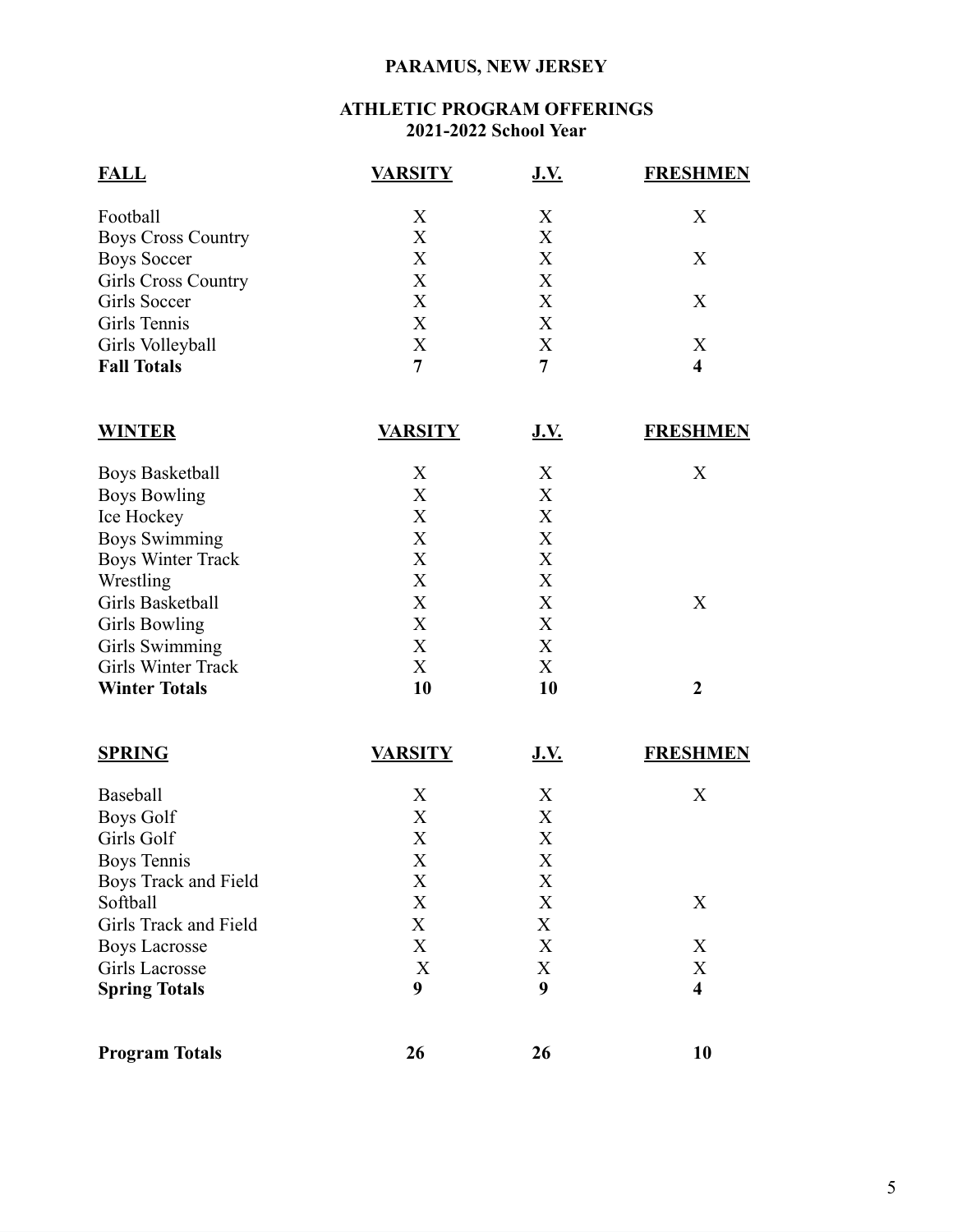### **PARAMUS, NEW JERSEY**

#### **ATHLETIC PROGRAM OFFERINGS 2021-2022 School Year**

| <b>FALL</b>               | <b>VARSITY</b> | <u>J.V.</u> | <b>FRESHMEN</b> |
|---------------------------|----------------|-------------|-----------------|
| Football                  | X              | Χ           | X               |
| <b>Boys Cross Country</b> | X              | X           |                 |
| <b>Boys Soccer</b>        | X              | Χ           | Χ               |
| Girls Cross Country       | Χ              | Χ           |                 |
| Girls Soccer              | X              | X           | X               |
| Girls Tennis              | X              | X           |                 |
| Girls Volleyball          | X              | Χ           | Х               |
| <b>Fall Totals</b>        | 7              |             | 4               |

| <b>WINTER</b>            | <b>VARSITY</b> | <b>J.V.</b> | <b>FRESHMEN</b> |
|--------------------------|----------------|-------------|-----------------|
| <b>Boys Basketball</b>   | X              | X           | Χ               |
| <b>Boys Bowling</b>      | X              | X           |                 |
| Ice Hockey               | X              | X           |                 |
| <b>Boys Swimming</b>     | X              | X           |                 |
| <b>Boys Winter Track</b> | X              | X           |                 |
| Wrestling                | X              | X           |                 |
| Girls Basketball         | X              | X           | X               |
| <b>Girls Bowling</b>     | X              | Χ           |                 |
| Girls Swimming           | X              | Χ           |                 |
| Girls Winter Track       | X              | X           |                 |
| <b>Winter Totals</b>     | 10             | 10          |                 |

| <b>SPRING</b>         | VARSITY | <u>J.V.</u> | <b>FRESHMEN</b>         |
|-----------------------|---------|-------------|-------------------------|
| <b>Baseball</b>       | X       | X           | X                       |
| <b>Boys Golf</b>      | X       | X           |                         |
| Girls Golf            | X       | X           |                         |
| Boys Tennis           | X       | X           |                         |
| Boys Track and Field  | X       | X           |                         |
| Softball              | X       | X           | X                       |
| Girls Track and Field | X       | X           |                         |
| <b>Boys Lacrosse</b>  | X       | X           | X                       |
| Girls Lacrosse        | X       | X           | X                       |
| <b>Spring Totals</b>  | 9       | 9           | $\overline{\mathbf{4}}$ |
| <b>Program Totals</b> | 26      | 26          | 10                      |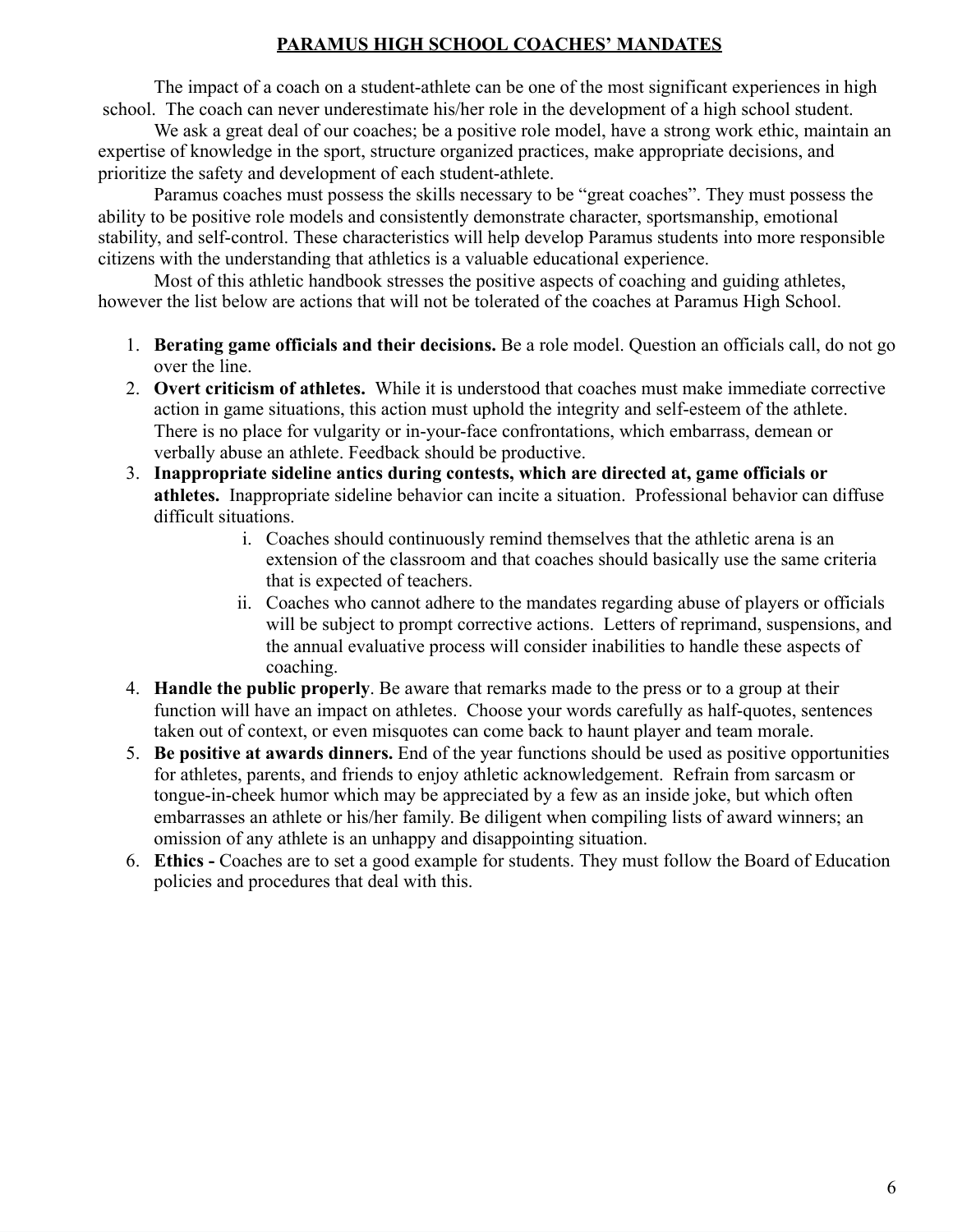#### **PARAMUS HIGH SCHOOL COACHES' MANDATES**

The impact of a coach on a student-athlete can be one of the most significant experiences in high school. The coach can never underestimate his/her role in the development of a high school student.

We ask a great deal of our coaches; be a positive role model, have a strong work ethic, maintain an expertise of knowledge in the sport, structure organized practices, make appropriate decisions, and prioritize the safety and development of each student-athlete.

Paramus coaches must possess the skills necessary to be "great coaches". They must possess the ability to be positive role models and consistently demonstrate character, sportsmanship, emotional stability, and self-control. These characteristics will help develop Paramus students into more responsible citizens with the understanding that athletics is a valuable educational experience.

Most of this athletic handbook stresses the positive aspects of coaching and guiding athletes, however the list below are actions that will not be tolerated of the coaches at Paramus High School.

- 1. **Berating game officials and their decisions.** Be a role model. Question an officials call, do not go over the line.
- 2. **Overt criticism of athletes.** While it is understood that coaches must make immediate corrective action in game situations, this action must uphold the integrity and self-esteem of the athlete. There is no place for vulgarity or in-your-face confrontations, which embarrass, demean or verbally abuse an athlete. Feedback should be productive.
- 3. **Inappropriate sideline antics during contests, which are directed at, game officials or athletes.** Inappropriate sideline behavior can incite a situation. Professional behavior can diffuse difficult situations.
	- i. Coaches should continuously remind themselves that the athletic arena is an extension of the classroom and that coaches should basically use the same criteria that is expected of teachers.
	- ii. Coaches who cannot adhere to the mandates regarding abuse of players or officials will be subject to prompt corrective actions. Letters of reprimand, suspensions, and the annual evaluative process will consider inabilities to handle these aspects of coaching.
- 4. **Handle the public properly**. Be aware that remarks made to the press or to a group at their function will have an impact on athletes. Choose your words carefully as half-quotes, sentences taken out of context, or even misquotes can come back to haunt player and team morale.
- 5. **Be positive at awards dinners.** End of the year functions should be used as positive opportunities for athletes, parents, and friends to enjoy athletic acknowledgement. Refrain from sarcasm or tongue-in-cheek humor which may be appreciated by a few as an inside joke, but which often embarrasses an athlete or his/her family. Be diligent when compiling lists of award winners; an omission of any athlete is an unhappy and disappointing situation.
- 6. **Ethics -** Coaches are to set a good example for students. They must follow the Board of Education policies and procedures that deal with this.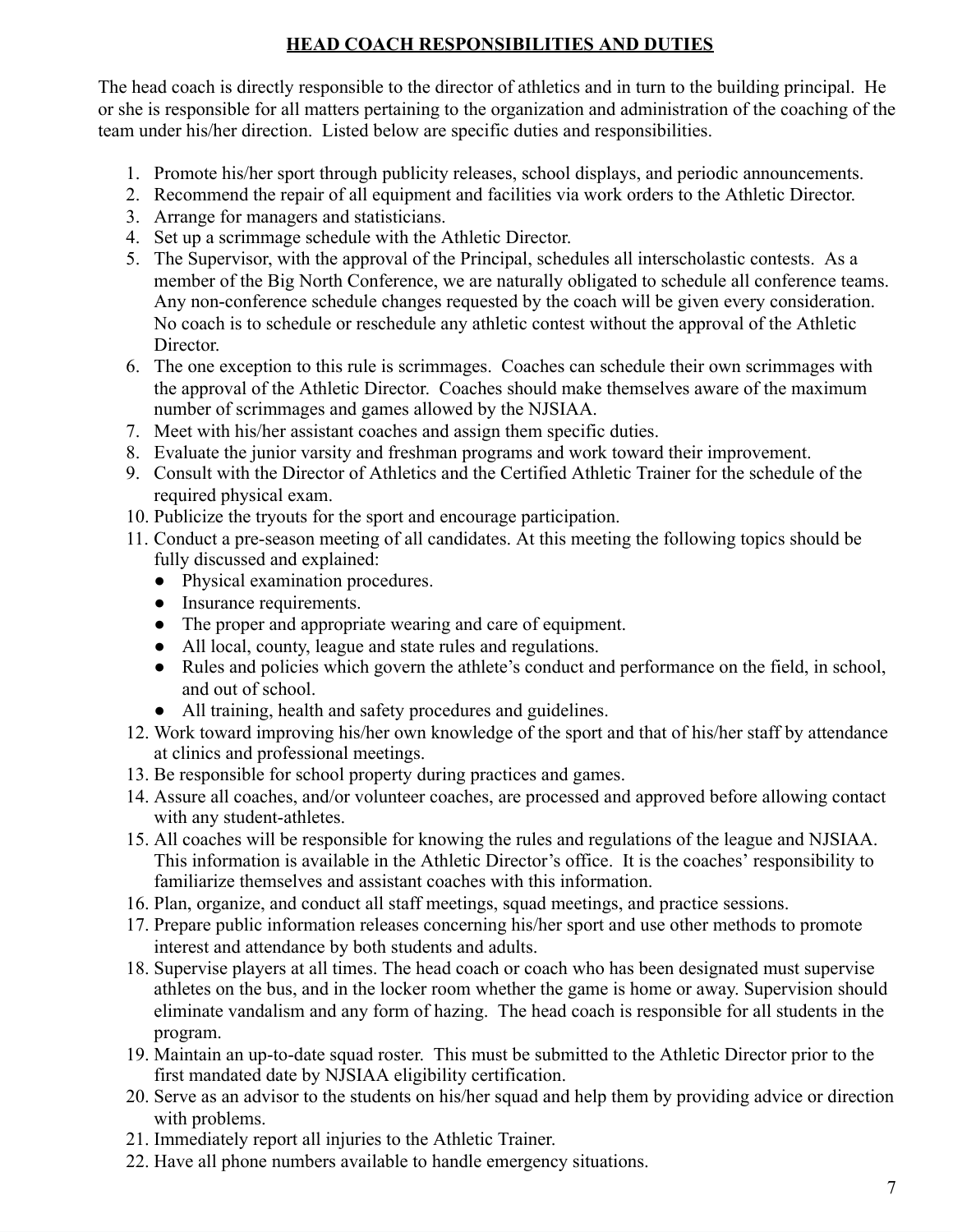#### **HEAD COACH RESPONSIBILITIES AND DUTIES**

The head coach is directly responsible to the director of athletics and in turn to the building principal. He or she is responsible for all matters pertaining to the organization and administration of the coaching of the team under his/her direction. Listed below are specific duties and responsibilities.

- 1. Promote his/her sport through publicity releases, school displays, and periodic announcements.
- 2. Recommend the repair of all equipment and facilities via work orders to the Athletic Director.
- 3. Arrange for managers and statisticians.
- 4. Set up a scrimmage schedule with the Athletic Director.
- 5. The Supervisor, with the approval of the Principal, schedules all interscholastic contests. As a member of the Big North Conference, we are naturally obligated to schedule all conference teams. Any non-conference schedule changes requested by the coach will be given every consideration. No coach is to schedule or reschedule any athletic contest without the approval of the Athletic Director.
- 6. The one exception to this rule is scrimmages. Coaches can schedule their own scrimmages with the approval of the Athletic Director. Coaches should make themselves aware of the maximum number of scrimmages and games allowed by the NJSIAA.
- 7. Meet with his/her assistant coaches and assign them specific duties.
- 8. Evaluate the junior varsity and freshman programs and work toward their improvement.
- 9. Consult with the Director of Athletics and the Certified Athletic Trainer for the schedule of the required physical exam.
- 10. Publicize the tryouts for the sport and encourage participation.
- 11. Conduct a pre-season meeting of all candidates. At this meeting the following topics should be fully discussed and explained:
	- Physical examination procedures.
	- Insurance requirements.
	- The proper and appropriate wearing and care of equipment.
	- All local, county, league and state rules and regulations.
	- Rules and policies which govern the athlete's conduct and performance on the field, in school, and out of school.
	- All training, health and safety procedures and guidelines.
- 12. Work toward improving his/her own knowledge of the sport and that of his/her staff by attendance at clinics and professional meetings.
- 13. Be responsible for school property during practices and games.
- 14. Assure all coaches, and/or volunteer coaches, are processed and approved before allowing contact with any student-athletes.
- 15. All coaches will be responsible for knowing the rules and regulations of the league and NJSIAA. This information is available in the Athletic Director's office. It is the coaches' responsibility to familiarize themselves and assistant coaches with this information.
- 16. Plan, organize, and conduct all staff meetings, squad meetings, and practice sessions.
- 17. Prepare public information releases concerning his/her sport and use other methods to promote interest and attendance by both students and adults.
- 18. Supervise players at all times. The head coach or coach who has been designated must supervise athletes on the bus, and in the locker room whether the game is home or away. Supervision should eliminate vandalism and any form of hazing. The head coach is responsible for all students in the program.
- 19. Maintain an up-to-date squad roster. This must be submitted to the Athletic Director prior to the first mandated date by NJSIAA eligibility certification.
- 20. Serve as an advisor to the students on his/her squad and help them by providing advice or direction with problems.
- 21. Immediately report all injuries to the Athletic Trainer.
- 22. Have all phone numbers available to handle emergency situations.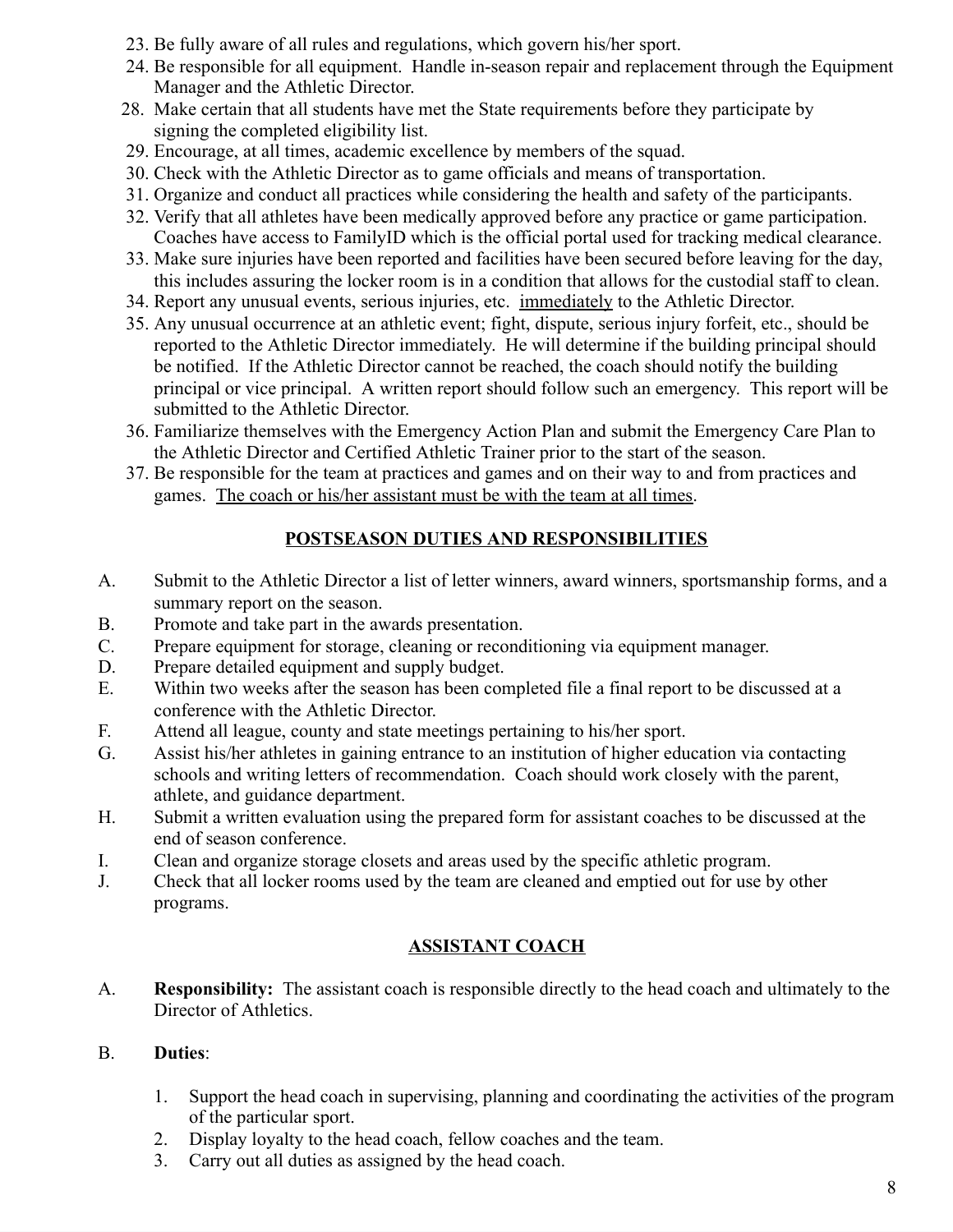- 23. Be fully aware of all rules and regulations, which govern his/her sport.
- 24. Be responsible for all equipment. Handle in-season repair and replacement through the Equipment Manager and the Athletic Director.
- 28. Make certain that all students have met the State requirements before they participate by signing the completed eligibility list.
- 29. Encourage, at all times, academic excellence by members of the squad.
- 30. Check with the Athletic Director as to game officials and means of transportation.
- 31. Organize and conduct all practices while considering the health and safety of the participants.
- 32. Verify that all athletes have been medically approved before any practice or game participation. Coaches have access to FamilyID which is the official portal used for tracking medical clearance.
- 33. Make sure injuries have been reported and facilities have been secured before leaving for the day, this includes assuring the locker room is in a condition that allows for the custodial staff to clean.
- 34. Report any unusual events, serious injuries, etc. immediately to the Athletic Director.
- 35. Any unusual occurrence at an athletic event; fight, dispute, serious injury forfeit, etc., should be reported to the Athletic Director immediately. He will determine if the building principal should be notified. If the Athletic Director cannot be reached, the coach should notify the building principal or vice principal. A written report should follow such an emergency. This report will be submitted to the Athletic Director.
- 36. Familiarize themselves with the Emergency Action Plan and submit the Emergency Care Plan to the Athletic Director and Certified Athletic Trainer prior to the start of the season.
- 37. Be responsible for the team at practices and games and on their way to and from practices and games. The coach or his/her assistant must be with the team at all times.

#### **POSTSEASON DUTIES AND RESPONSIBILITIES**

- A. Submit to the Athletic Director a list of letter winners, award winners, sportsmanship forms, and a summary report on the season.
- B. Promote and take part in the awards presentation.
- C. Prepare equipment for storage, cleaning or reconditioning via equipment manager.
- D. Prepare detailed equipment and supply budget.
- E. Within two weeks after the season has been completed file a final report to be discussed at a conference with the Athletic Director.
- F. Attend all league, county and state meetings pertaining to his/her sport.
- G. Assist his/her athletes in gaining entrance to an institution of higher education via contacting schools and writing letters of recommendation. Coach should work closely with the parent, athlete, and guidance department.
- H. Submit a written evaluation using the prepared form for assistant coaches to be discussed at the end of season conference.
- I. Clean and organize storage closets and areas used by the specific athletic program.
- J. Check that all locker rooms used by the team are cleaned and emptied out for use by other programs.

#### **ASSISTANT COACH**

A. **Responsibility:** The assistant coach is responsible directly to the head coach and ultimately to the Director of Athletics.

#### B. **Duties**:

- 1. Support the head coach in supervising, planning and coordinating the activities of the program of the particular sport.
- 2. Display loyalty to the head coach, fellow coaches and the team.
- 3. Carry out all duties as assigned by the head coach.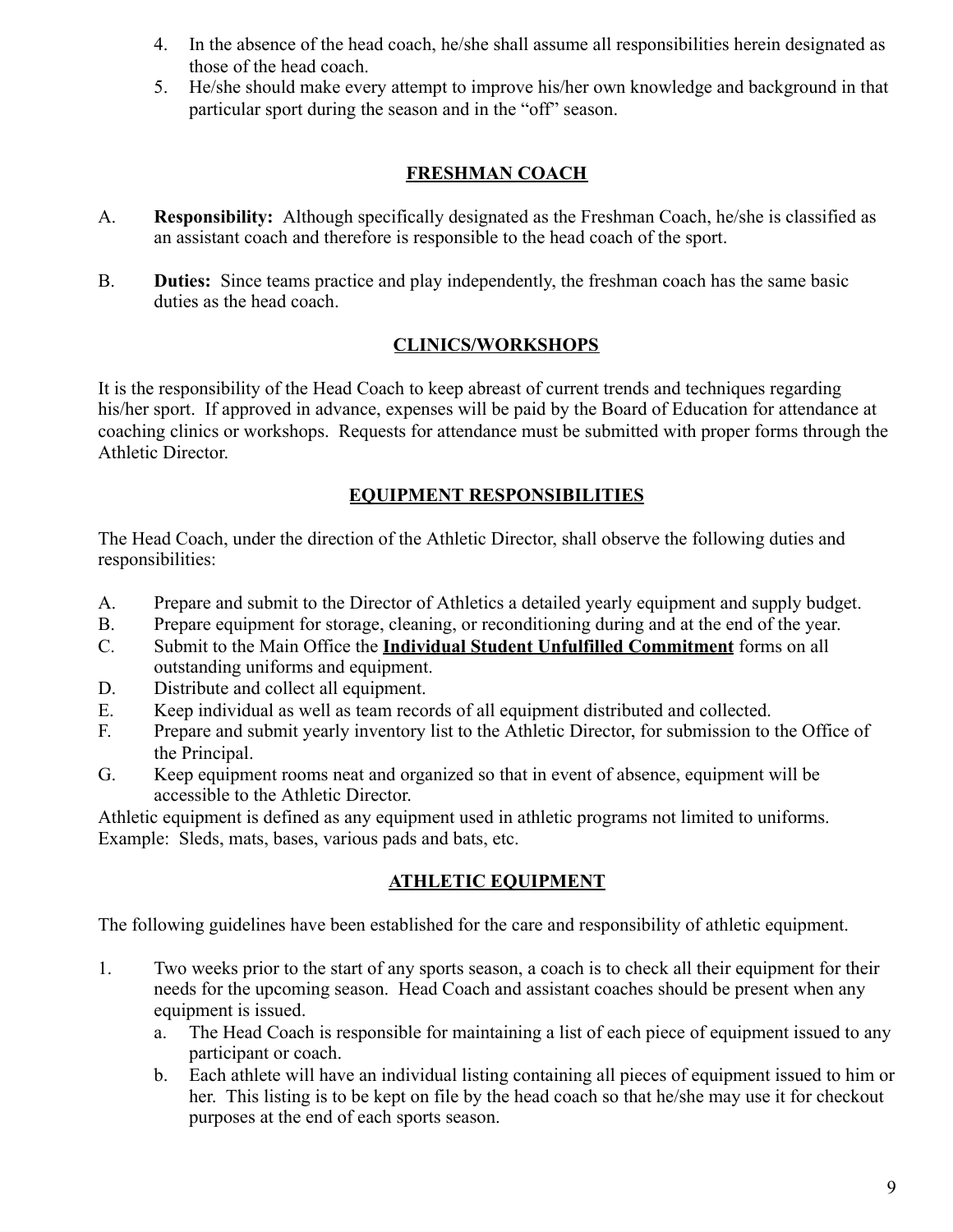- 4. In the absence of the head coach, he/she shall assume all responsibilities herein designated as those of the head coach.
- 5. He/she should make every attempt to improve his/her own knowledge and background in that particular sport during the season and in the "off" season.

#### **FRESHMAN COACH**

- A. **Responsibility:** Although specifically designated as the Freshman Coach, he/she is classified as an assistant coach and therefore is responsible to the head coach of the sport.
- B. **Duties:** Since teams practice and play independently, the freshman coach has the same basic duties as the head coach.

#### **CLINICS/WORKSHOPS**

It is the responsibility of the Head Coach to keep abreast of current trends and techniques regarding his/her sport. If approved in advance, expenses will be paid by the Board of Education for attendance at coaching clinics or workshops. Requests for attendance must be submitted with proper forms through the Athletic Director.

#### **EQUIPMENT RESPONSIBILITIES**

The Head Coach, under the direction of the Athletic Director, shall observe the following duties and responsibilities:

- A. Prepare and submit to the Director of Athletics a detailed yearly equipment and supply budget.
- B. Prepare equipment for storage, cleaning, or reconditioning during and at the end of the year.
- C. Submit to the Main Office the **Individual Student Unfulfilled Commitment** forms on all outstanding uniforms and equipment.
- D. Distribute and collect all equipment.
- E. Keep individual as well as team records of all equipment distributed and collected.
- F. Prepare and submit yearly inventory list to the Athletic Director, for submission to the Office of the Principal.
- G. Keep equipment rooms neat and organized so that in event of absence, equipment will be accessible to the Athletic Director.

Athletic equipment is defined as any equipment used in athletic programs not limited to uniforms. Example: Sleds, mats, bases, various pads and bats, etc.

#### **ATHLETIC EQUIPMENT**

The following guidelines have been established for the care and responsibility of athletic equipment.

- 1. Two weeks prior to the start of any sports season, a coach is to check all their equipment for their needs for the upcoming season. Head Coach and assistant coaches should be present when any equipment is issued.
	- a. The Head Coach is responsible for maintaining a list of each piece of equipment issued to any participant or coach.
	- b. Each athlete will have an individual listing containing all pieces of equipment issued to him or her. This listing is to be kept on file by the head coach so that he/she may use it for checkout purposes at the end of each sports season.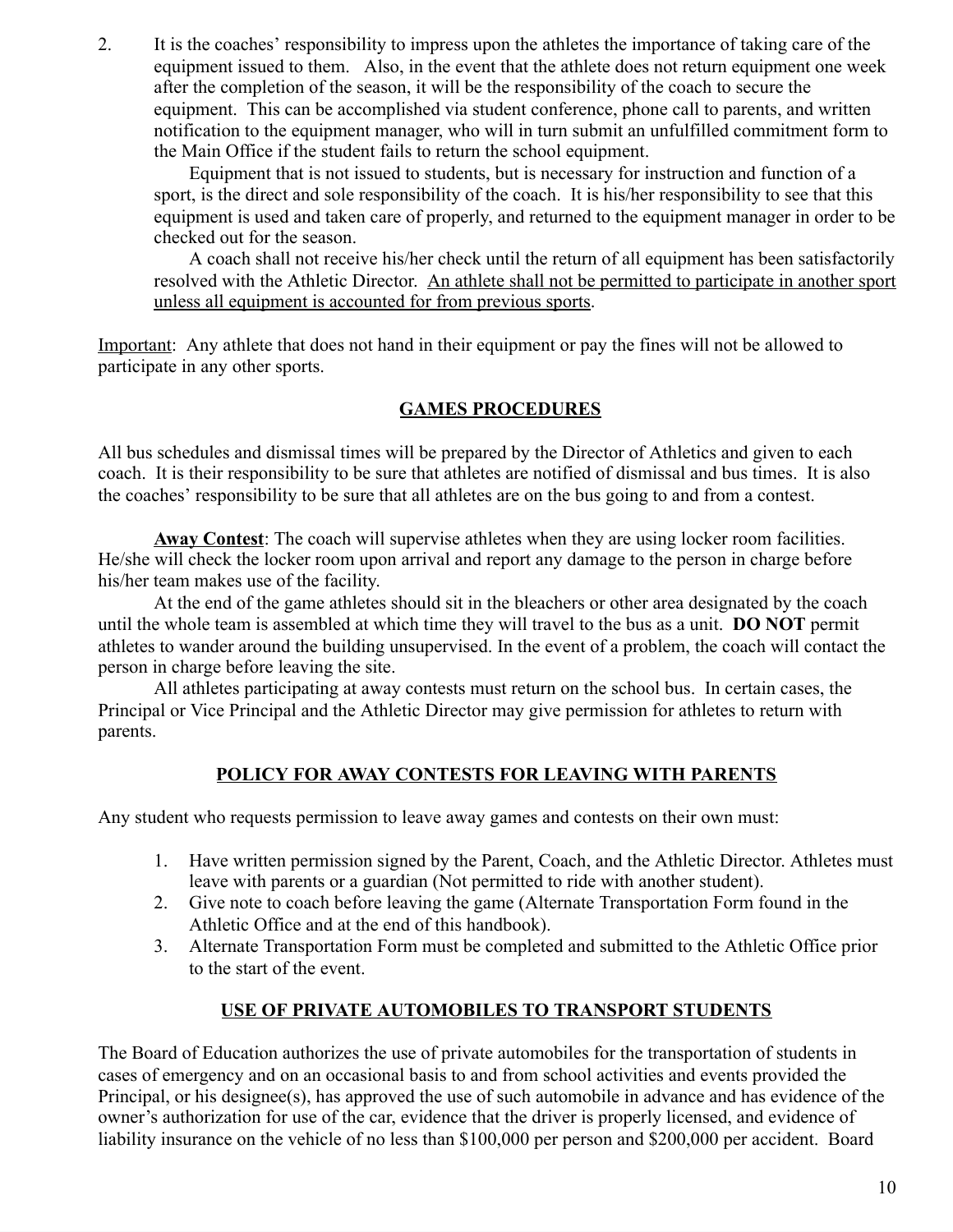2. It is the coaches' responsibility to impress upon the athletes the importance of taking care of the equipment issued to them. Also, in the event that the athlete does not return equipment one week after the completion of the season, it will be the responsibility of the coach to secure the equipment. This can be accomplished via student conference, phone call to parents, and written notification to the equipment manager, who will in turn submit an unfulfilled commitment form to the Main Office if the student fails to return the school equipment.

Equipment that is not issued to students, but is necessary for instruction and function of a sport, is the direct and sole responsibility of the coach. It is his/her responsibility to see that this equipment is used and taken care of properly, and returned to the equipment manager in order to be checked out for the season.

A coach shall not receive his/her check until the return of all equipment has been satisfactorily resolved with the Athletic Director. An athlete shall not be permitted to participate in another sport unless all equipment is accounted for from previous sports.

Important: Any athlete that does not hand in their equipment or pay the fines will not be allowed to participate in any other sports.

#### **GAMES PROCEDURES**

All bus schedules and dismissal times will be prepared by the Director of Athletics and given to each coach. It is their responsibility to be sure that athletes are notified of dismissal and bus times. It is also the coaches' responsibility to be sure that all athletes are on the bus going to and from a contest.

**Away Contest**: The coach will supervise athletes when they are using locker room facilities. He/she will check the locker room upon arrival and report any damage to the person in charge before his/her team makes use of the facility.

At the end of the game athletes should sit in the bleachers or other area designated by the coach until the whole team is assembled at which time they will travel to the bus as a unit. **DO NOT** permit athletes to wander around the building unsupervised. In the event of a problem, the coach will contact the person in charge before leaving the site.

All athletes participating at away contests must return on the school bus. In certain cases, the Principal or Vice Principal and the Athletic Director may give permission for athletes to return with parents.

#### **POLICY FOR AWAY CONTESTS FOR LEAVING WITH PARENTS**

Any student who requests permission to leave away games and contests on their own must:

- 1. Have written permission signed by the Parent, Coach, and the Athletic Director. Athletes must leave with parents or a guardian (Not permitted to ride with another student).
- 2. Give note to coach before leaving the game (Alternate Transportation Form found in the Athletic Office and at the end of this handbook).
- 3. Alternate Transportation Form must be completed and submitted to the Athletic Office prior to the start of the event.

#### **USE OF PRIVATE AUTOMOBILES TO TRANSPORT STUDENTS**

The Board of Education authorizes the use of private automobiles for the transportation of students in cases of emergency and on an occasional basis to and from school activities and events provided the Principal, or his designee(s), has approved the use of such automobile in advance and has evidence of the owner's authorization for use of the car, evidence that the driver is properly licensed, and evidence of liability insurance on the vehicle of no less than \$100,000 per person and \$200,000 per accident. Board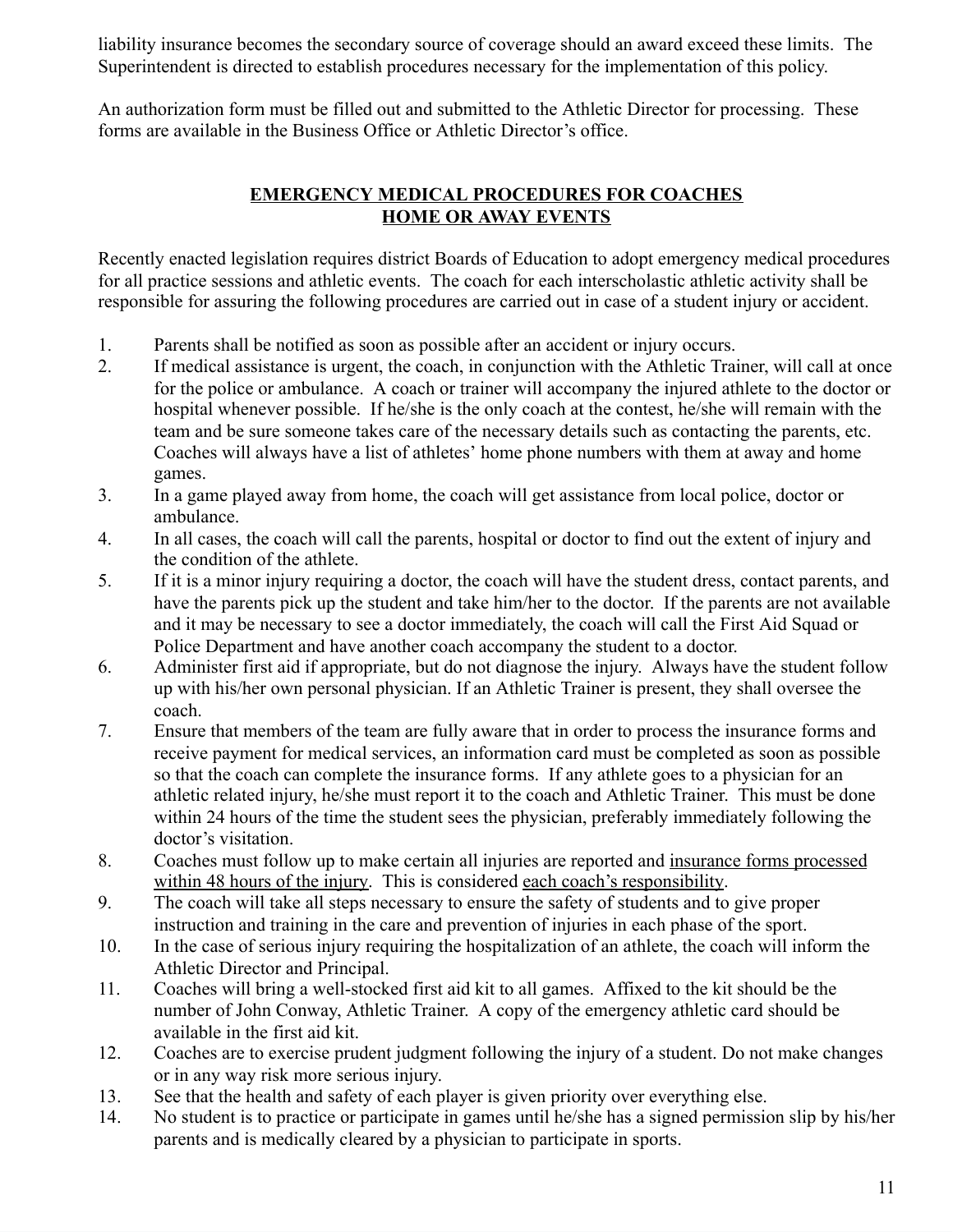liability insurance becomes the secondary source of coverage should an award exceed these limits. The Superintendent is directed to establish procedures necessary for the implementation of this policy.

An authorization form must be filled out and submitted to the Athletic Director for processing. These forms are available in the Business Office or Athletic Director's office.

#### **EMERGENCY MEDICAL PROCEDURES FOR COACHES HOME OR AWAY EVENTS**

Recently enacted legislation requires district Boards of Education to adopt emergency medical procedures for all practice sessions and athletic events. The coach for each interscholastic athletic activity shall be responsible for assuring the following procedures are carried out in case of a student injury or accident.

- 1. Parents shall be notified as soon as possible after an accident or injury occurs.
- 2. If medical assistance is urgent, the coach, in conjunction with the Athletic Trainer, will call at once for the police or ambulance. A coach or trainer will accompany the injured athlete to the doctor or hospital whenever possible. If he/she is the only coach at the contest, he/she will remain with the team and be sure someone takes care of the necessary details such as contacting the parents, etc. Coaches will always have a list of athletes' home phone numbers with them at away and home games.
- 3. In a game played away from home, the coach will get assistance from local police, doctor or ambulance.
- 4. In all cases, the coach will call the parents, hospital or doctor to find out the extent of injury and the condition of the athlete.
- 5. If it is a minor injury requiring a doctor, the coach will have the student dress, contact parents, and have the parents pick up the student and take him/her to the doctor. If the parents are not available and it may be necessary to see a doctor immediately, the coach will call the First Aid Squad or Police Department and have another coach accompany the student to a doctor.
- 6. Administer first aid if appropriate, but do not diagnose the injury. Always have the student follow up with his/her own personal physician. If an Athletic Trainer is present, they shall oversee the coach.
- 7. Ensure that members of the team are fully aware that in order to process the insurance forms and receive payment for medical services, an information card must be completed as soon as possible so that the coach can complete the insurance forms. If any athlete goes to a physician for an athletic related injury, he/she must report it to the coach and Athletic Trainer. This must be done within 24 hours of the time the student sees the physician, preferably immediately following the doctor's visitation.
- 8. Coaches must follow up to make certain all injuries are reported and insurance forms processed within 48 hours of the injury. This is considered each coach's responsibility.
- 9. The coach will take all steps necessary to ensure the safety of students and to give proper instruction and training in the care and prevention of injuries in each phase of the sport.
- 10. In the case of serious injury requiring the hospitalization of an athlete, the coach will inform the Athletic Director and Principal.
- 11. Coaches will bring a well-stocked first aid kit to all games. Affixed to the kit should be the number of John Conway, Athletic Trainer. A copy of the emergency athletic card should be available in the first aid kit.
- 12. Coaches are to exercise prudent judgment following the injury of a student. Do not make changes or in any way risk more serious injury.
- 13. See that the health and safety of each player is given priority over everything else.
- 14. No student is to practice or participate in games until he/she has a signed permission slip by his/her parents and is medically cleared by a physician to participate in sports.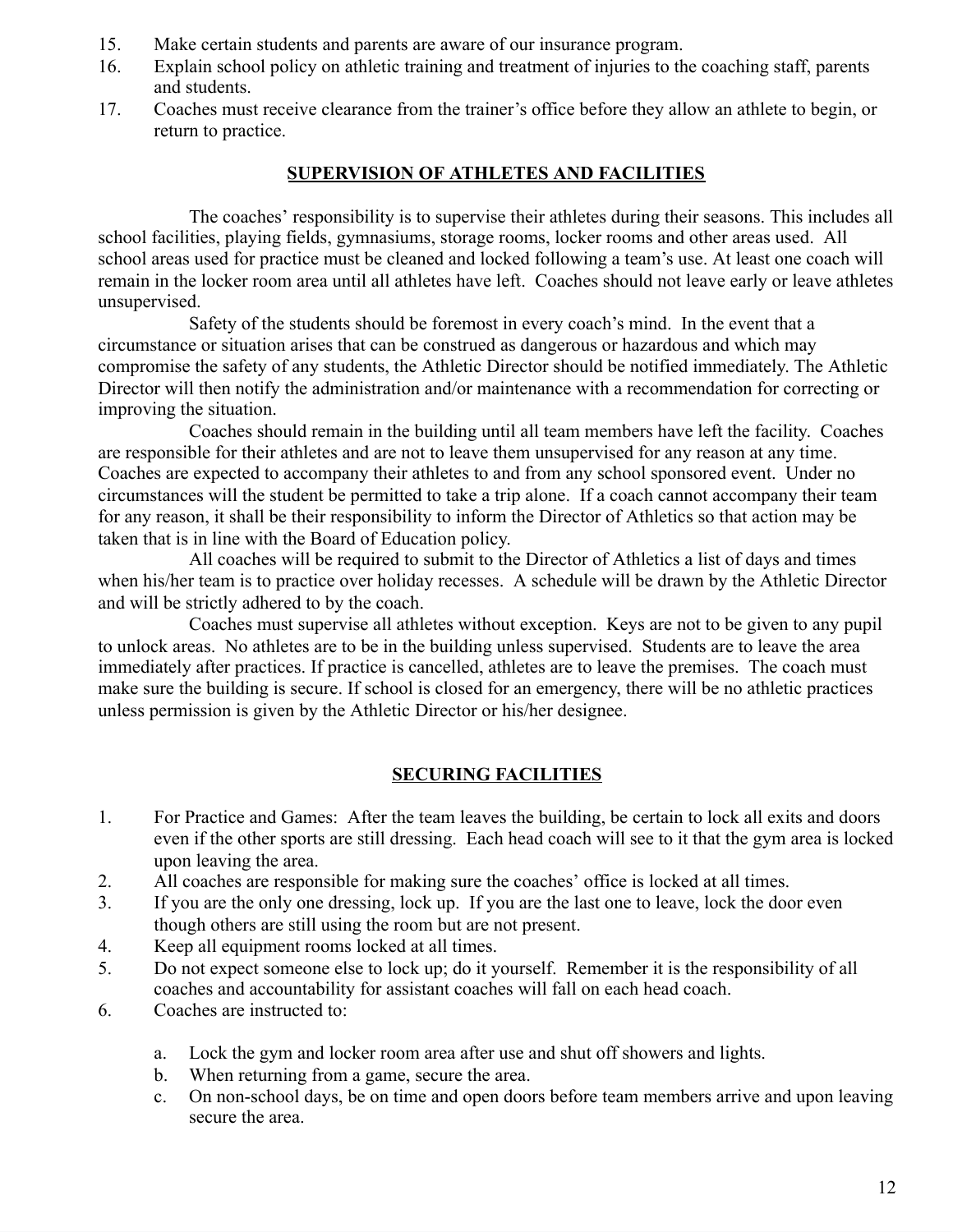- 15. Make certain students and parents are aware of our insurance program.
- 16. Explain school policy on athletic training and treatment of injuries to the coaching staff, parents and students.
- 17. Coaches must receive clearance from the trainer's office before they allow an athlete to begin, or return to practice.

#### **SUPERVISION OF ATHLETES AND FACILITIES**

The coaches' responsibility is to supervise their athletes during their seasons. This includes all school facilities, playing fields, gymnasiums, storage rooms, locker rooms and other areas used. All school areas used for practice must be cleaned and locked following a team's use. At least one coach will remain in the locker room area until all athletes have left. Coaches should not leave early or leave athletes unsupervised.

Safety of the students should be foremost in every coach's mind. In the event that a circumstance or situation arises that can be construed as dangerous or hazardous and which may compromise the safety of any students, the Athletic Director should be notified immediately. The Athletic Director will then notify the administration and/or maintenance with a recommendation for correcting or improving the situation.

Coaches should remain in the building until all team members have left the facility. Coaches are responsible for their athletes and are not to leave them unsupervised for any reason at any time. Coaches are expected to accompany their athletes to and from any school sponsored event. Under no circumstances will the student be permitted to take a trip alone. If a coach cannot accompany their team for any reason, it shall be their responsibility to inform the Director of Athletics so that action may be taken that is in line with the Board of Education policy.

All coaches will be required to submit to the Director of Athletics a list of days and times when his/her team is to practice over holiday recesses. A schedule will be drawn by the Athletic Director and will be strictly adhered to by the coach.

Coaches must supervise all athletes without exception. Keys are not to be given to any pupil to unlock areas. No athletes are to be in the building unless supervised. Students are to leave the area immediately after practices. If practice is cancelled, athletes are to leave the premises. The coach must make sure the building is secure. If school is closed for an emergency, there will be no athletic practices unless permission is given by the Athletic Director or his/her designee.

#### **SECURING FACILITIES**

- 1. For Practice and Games: After the team leaves the building, be certain to lock all exits and doors even if the other sports are still dressing. Each head coach will see to it that the gym area is locked upon leaving the area.
- 2. All coaches are responsible for making sure the coaches' office is locked at all times.
- 3. If you are the only one dressing, lock up. If you are the last one to leave, lock the door even though others are still using the room but are not present.
- 4. Keep all equipment rooms locked at all times.
- 5. Do not expect someone else to lock up; do it yourself. Remember it is the responsibility of all coaches and accountability for assistant coaches will fall on each head coach.
- 6. Coaches are instructed to:
	- a. Lock the gym and locker room area after use and shut off showers and lights.
	- b. When returning from a game, secure the area.
	- c. On non-school days, be on time and open doors before team members arrive and upon leaving secure the area.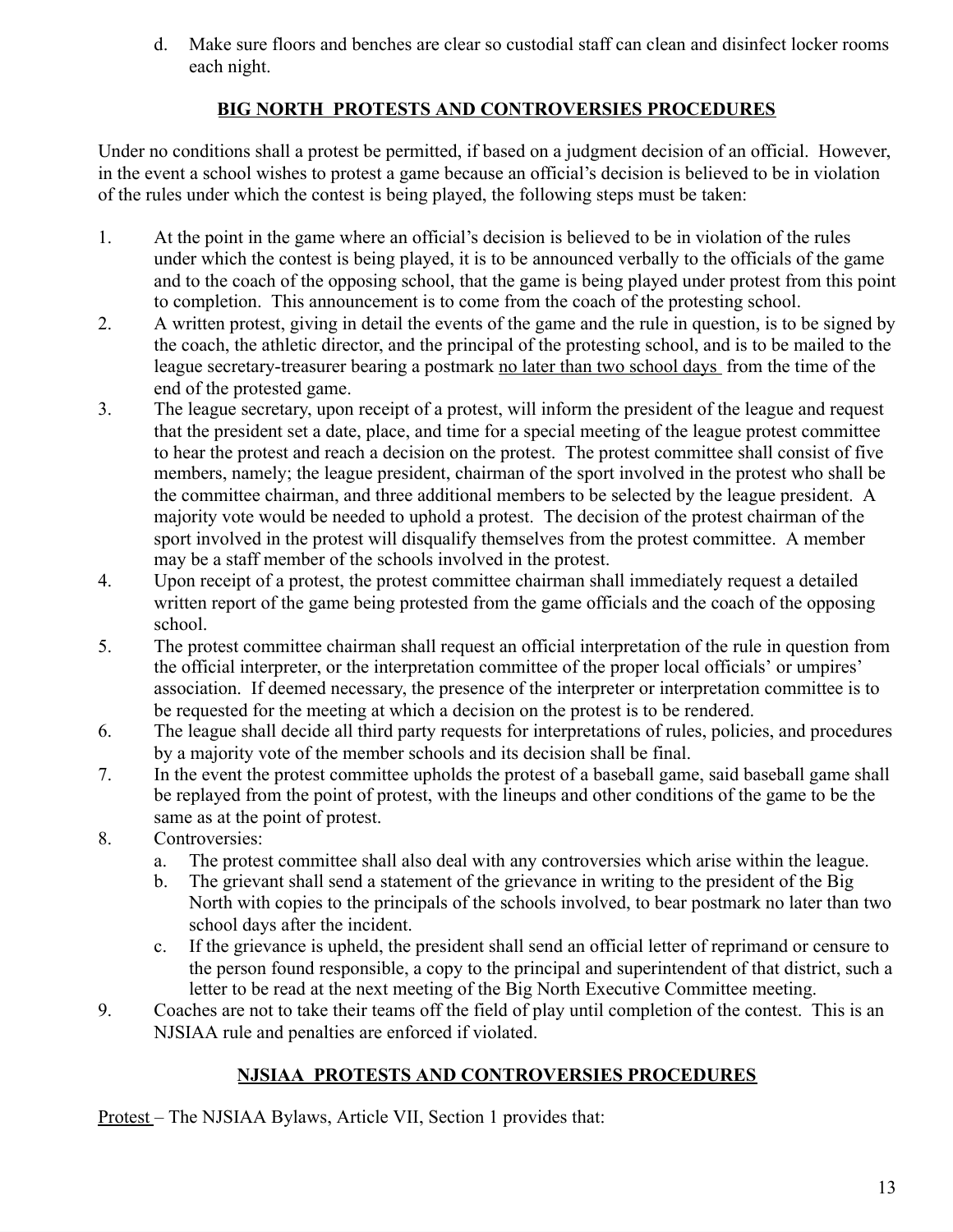d. Make sure floors and benches are clear so custodial staff can clean and disinfect locker rooms each night.

#### **BIG NORTH PROTESTS AND CONTROVERSIES PROCEDURES**

Under no conditions shall a protest be permitted, if based on a judgment decision of an official. However, in the event a school wishes to protest a game because an official's decision is believed to be in violation of the rules under which the contest is being played, the following steps must be taken:

- 1. At the point in the game where an official's decision is believed to be in violation of the rules under which the contest is being played, it is to be announced verbally to the officials of the game and to the coach of the opposing school, that the game is being played under protest from this point to completion. This announcement is to come from the coach of the protesting school.
- 2. A written protest, giving in detail the events of the game and the rule in question, is to be signed by the coach, the athletic director, and the principal of the protesting school, and is to be mailed to the league secretary-treasurer bearing a postmark no later than two school days from the time of the end of the protested game.
- 3. The league secretary, upon receipt of a protest, will inform the president of the league and request that the president set a date, place, and time for a special meeting of the league protest committee to hear the protest and reach a decision on the protest. The protest committee shall consist of five members, namely; the league president, chairman of the sport involved in the protest who shall be the committee chairman, and three additional members to be selected by the league president. A majority vote would be needed to uphold a protest. The decision of the protest chairman of the sport involved in the protest will disqualify themselves from the protest committee. A member may be a staff member of the schools involved in the protest.
- 4. Upon receipt of a protest, the protest committee chairman shall immediately request a detailed written report of the game being protested from the game officials and the coach of the opposing school.
- 5. The protest committee chairman shall request an official interpretation of the rule in question from the official interpreter, or the interpretation committee of the proper local officials' or umpires' association. If deemed necessary, the presence of the interpreter or interpretation committee is to be requested for the meeting at which a decision on the protest is to be rendered.
- 6. The league shall decide all third party requests for interpretations of rules, policies, and procedures by a majority vote of the member schools and its decision shall be final.
- 7. In the event the protest committee upholds the protest of a baseball game, said baseball game shall be replayed from the point of protest, with the lineups and other conditions of the game to be the same as at the point of protest.
- 8. Controversies:
	- a. The protest committee shall also deal with any controversies which arise within the league.
	- b. The grievant shall send a statement of the grievance in writing to the president of the Big North with copies to the principals of the schools involved, to bear postmark no later than two school days after the incident.
	- c. If the grievance is upheld, the president shall send an official letter of reprimand or censure to the person found responsible, a copy to the principal and superintendent of that district, such a letter to be read at the next meeting of the Big North Executive Committee meeting.
- 9. Coaches are not to take their teams off the field of play until completion of the contest. This is an NJSIAA rule and penalties are enforced if violated.

#### **NJSIAA PROTESTS AND CONTROVERSIES PROCEDURES**

Protest – The NJSIAA Bylaws, Article VII, Section 1 provides that: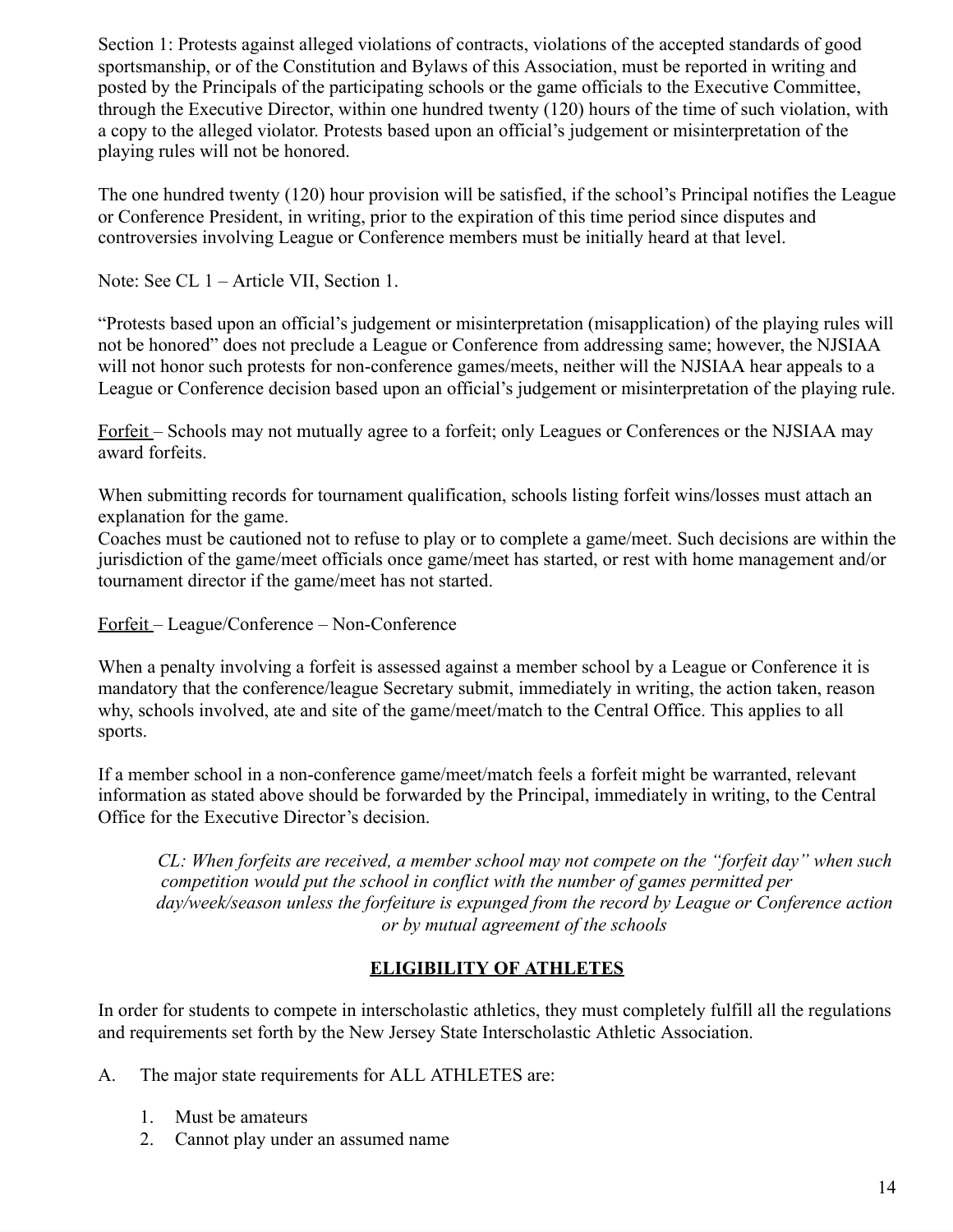Section 1: Protests against alleged violations of contracts, violations of the accepted standards of good sportsmanship, or of the Constitution and Bylaws of this Association, must be reported in writing and posted by the Principals of the participating schools or the game officials to the Executive Committee, through the Executive Director, within one hundred twenty (120) hours of the time of such violation, with a copy to the alleged violator. Protests based upon an official's judgement or misinterpretation of the playing rules will not be honored.

The one hundred twenty (120) hour provision will be satisfied, if the school's Principal notifies the League or Conference President, in writing, prior to the expiration of this time period since disputes and controversies involving League or Conference members must be initially heard at that level.

Note: See CL 1 – Article VII, Section 1.

"Protests based upon an official's judgement or misinterpretation (misapplication) of the playing rules will not be honored" does not preclude a League or Conference from addressing same; however, the NJSIAA will not honor such protests for non-conference games/meets, neither will the NJSIAA hear appeals to a League or Conference decision based upon an official's judgement or misinterpretation of the playing rule.

Forfeit – Schools may not mutually agree to a forfeit; only Leagues or Conferences or the NJSIAA may award forfeits.

When submitting records for tournament qualification, schools listing forfeit wins/losses must attach an explanation for the game.

Coaches must be cautioned not to refuse to play or to complete a game/meet. Such decisions are within the jurisdiction of the game/meet officials once game/meet has started, or rest with home management and/or tournament director if the game/meet has not started.

Forfeit – League/Conference – Non-Conference

When a penalty involving a forfeit is assessed against a member school by a League or Conference it is mandatory that the conference/league Secretary submit, immediately in writing, the action taken, reason why, schools involved, ate and site of the game/meet/match to the Central Office. This applies to all sports.

If a member school in a non-conference game/meet/match feels a forfeit might be warranted, relevant information as stated above should be forwarded by the Principal, immediately in writing, to the Central Office for the Executive Director's decision.

*CL: When forfeits are received, a member school may not compete on the "forfeit day" when such competition would put the school in conflict with the number of games permitted per day/week/season unless the forfeiture is expunged from the record by League or Conference action or by mutual agreement of the schools*

#### **ELIGIBILITY OF ATHLETES**

In order for students to compete in interscholastic athletics, they must completely fulfill all the regulations and requirements set forth by the New Jersey State Interscholastic Athletic Association.

A. The major state requirements for ALL ATHLETES are:

- 1. Must be amateurs
- 2. Cannot play under an assumed name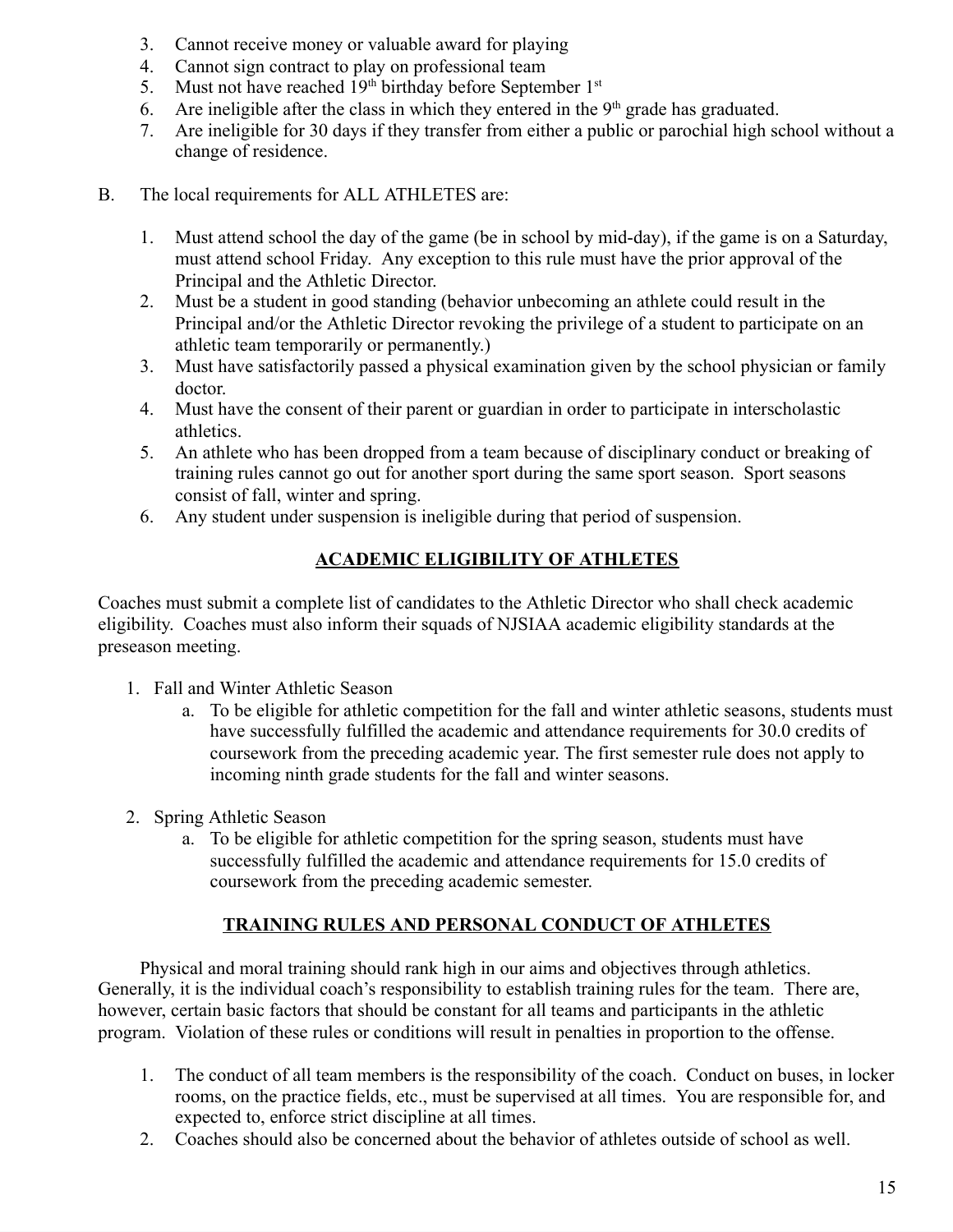- 3. Cannot receive money or valuable award for playing
- 4. Cannot sign contract to play on professional team
- 5. Must not have reached  $19<sup>th</sup>$  birthday before September  $1<sup>st</sup>$
- 6. Are ineligible after the class in which they entered in the  $9<sup>th</sup>$  grade has graduated.
- 7. Are ineligible for 30 days if they transfer from either a public or parochial high school without a change of residence.
- B. The local requirements for ALL ATHLETES are:
	- 1. Must attend school the day of the game (be in school by mid-day), if the game is on a Saturday, must attend school Friday. Any exception to this rule must have the prior approval of the Principal and the Athletic Director.
	- 2. Must be a student in good standing (behavior unbecoming an athlete could result in the Principal and/or the Athletic Director revoking the privilege of a student to participate on an athletic team temporarily or permanently.)
	- 3. Must have satisfactorily passed a physical examination given by the school physician or family doctor.
	- 4. Must have the consent of their parent or guardian in order to participate in interscholastic athletics.
	- 5. An athlete who has been dropped from a team because of disciplinary conduct or breaking of training rules cannot go out for another sport during the same sport season. Sport seasons consist of fall, winter and spring.
	- 6. Any student under suspension is ineligible during that period of suspension.

#### **ACADEMIC ELIGIBILITY OF ATHLETES**

Coaches must submit a complete list of candidates to the Athletic Director who shall check academic eligibility. Coaches must also inform their squads of NJSIAA academic eligibility standards at the preseason meeting.

- 1. Fall and Winter Athletic Season
	- a. To be eligible for athletic competition for the fall and winter athletic seasons, students must have successfully fulfilled the academic and attendance requirements for 30.0 credits of coursework from the preceding academic year. The first semester rule does not apply to incoming ninth grade students for the fall and winter seasons.
- 2. Spring Athletic Season
	- a. To be eligible for athletic competition for the spring season, students must have successfully fulfilled the academic and attendance requirements for 15.0 credits of coursework from the preceding academic semester.

#### **TRAINING RULES AND PERSONAL CONDUCT OF ATHLETES**

Physical and moral training should rank high in our aims and objectives through athletics. Generally, it is the individual coach's responsibility to establish training rules for the team. There are, however, certain basic factors that should be constant for all teams and participants in the athletic program. Violation of these rules or conditions will result in penalties in proportion to the offense.

- 1. The conduct of all team members is the responsibility of the coach. Conduct on buses, in locker rooms, on the practice fields, etc., must be supervised at all times. You are responsible for, and expected to, enforce strict discipline at all times.
- 2. Coaches should also be concerned about the behavior of athletes outside of school as well.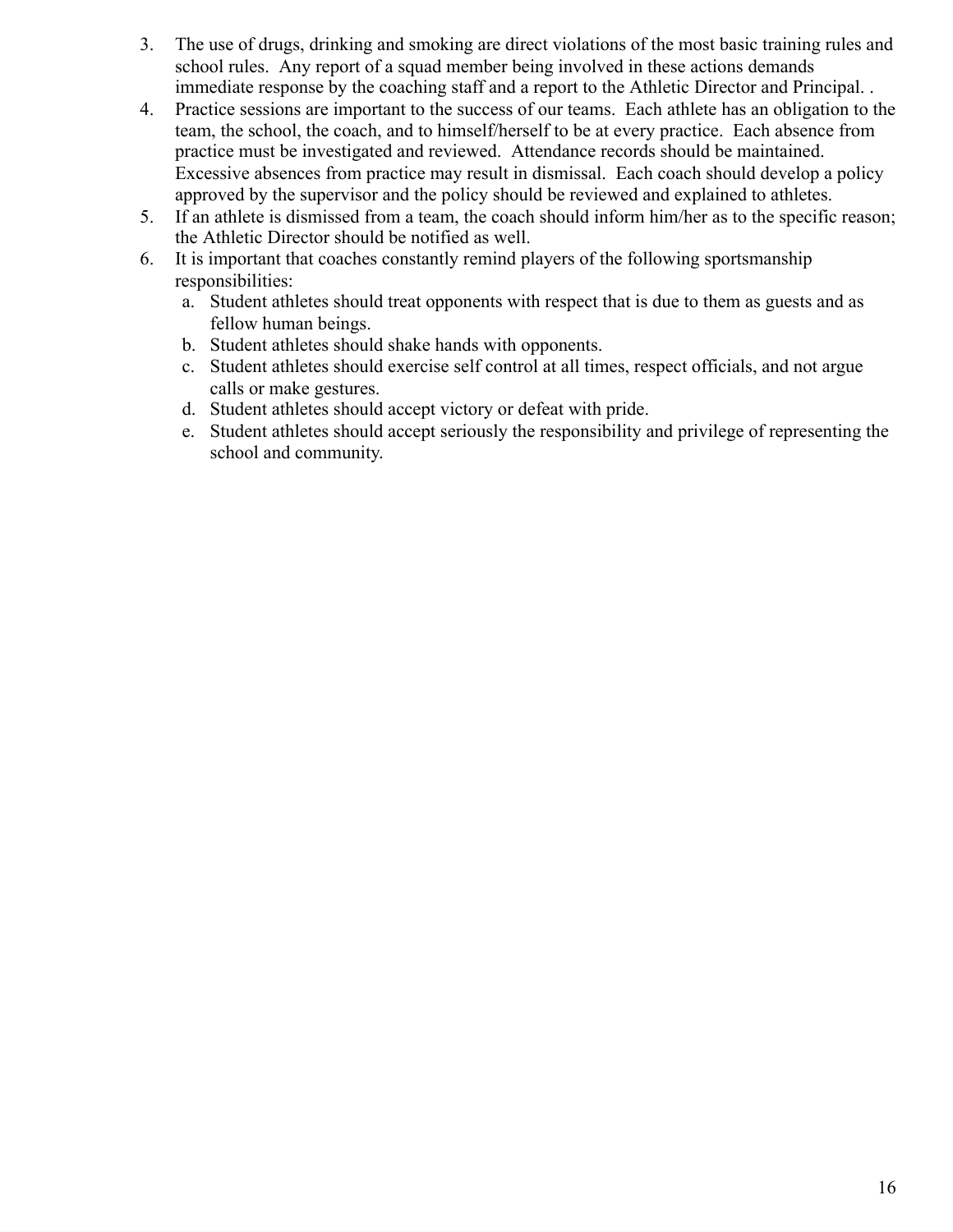- 3. The use of drugs, drinking and smoking are direct violations of the most basic training rules and school rules. Any report of a squad member being involved in these actions demands immediate response by the coaching staff and a report to the Athletic Director and Principal. .
- 4. Practice sessions are important to the success of our teams. Each athlete has an obligation to the team, the school, the coach, and to himself/herself to be at every practice. Each absence from practice must be investigated and reviewed. Attendance records should be maintained. Excessive absences from practice may result in dismissal. Each coach should develop a policy approved by the supervisor and the policy should be reviewed and explained to athletes.
- 5. If an athlete is dismissed from a team, the coach should inform him/her as to the specific reason; the Athletic Director should be notified as well.
- 6. It is important that coaches constantly remind players of the following sportsmanship responsibilities:
	- a. Student athletes should treat opponents with respect that is due to them as guests and as fellow human beings.
	- b. Student athletes should shake hands with opponents.
	- c. Student athletes should exercise self control at all times, respect officials, and not argue calls or make gestures.
	- d. Student athletes should accept victory or defeat with pride.
	- e. Student athletes should accept seriously the responsibility and privilege of representing the school and community.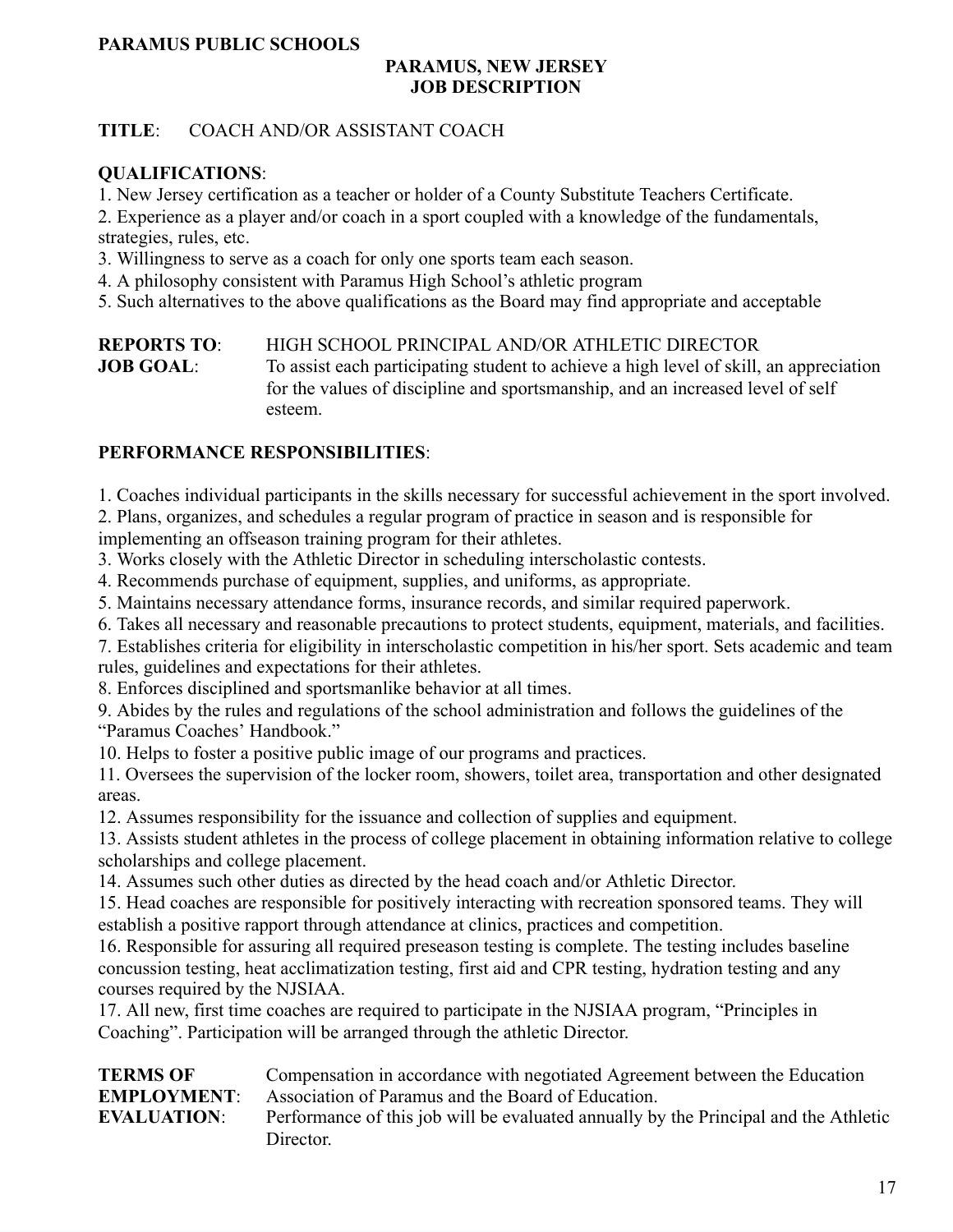#### **PARAMUS PUBLIC SCHOOLS**

#### **PARAMUS, NEW JERSEY JOB DESCRIPTION**

#### **TITLE**: COACH AND/OR ASSISTANT COACH

#### **QUALIFICATIONS**:

1. New Jersey certification as a teacher or holder of a County Substitute Teachers Certificate.

2. Experience as a player and/or coach in a sport coupled with a knowledge of the fundamentals, strategies, rules, etc.

3. Willingness to serve as a coach for only one sports team each season.

4. A philosophy consistent with Paramus High School's athletic program

5. Such alternatives to the above qualifications as the Board may find appropriate and acceptable

**REPORTS TO**: HIGH SCHOOL PRINCIPAL AND/OR ATHLETIC DIRECTOR **JOB GOAL**: To assist each participating student to achieve a high level of skill, an appreciation for the values of discipline and sportsmanship, and an increased level of self esteem.

#### **PERFORMANCE RESPONSIBILITIES**:

1. Coaches individual participants in the skills necessary for successful achievement in the sport involved.

2. Plans, organizes, and schedules a regular program of practice in season and is responsible for implementing an offseason training program for their athletes.

3. Works closely with the Athletic Director in scheduling interscholastic contests.

4. Recommends purchase of equipment, supplies, and uniforms, as appropriate.

5. Maintains necessary attendance forms, insurance records, and similar required paperwork.

6. Takes all necessary and reasonable precautions to protect students, equipment, materials, and facilities.

7. Establishes criteria for eligibility in interscholastic competition in his/her sport. Sets academic and team rules, guidelines and expectations for their athletes.

8. Enforces disciplined and sportsmanlike behavior at all times.

9. Abides by the rules and regulations of the school administration and follows the guidelines of the "Paramus Coaches' Handbook."

10. Helps to foster a positive public image of our programs and practices.

11. Oversees the supervision of the locker room, showers, toilet area, transportation and other designated areas.

12. Assumes responsibility for the issuance and collection of supplies and equipment.

13. Assists student athletes in the process of college placement in obtaining information relative to college scholarships and college placement.

14. Assumes such other duties as directed by the head coach and/or Athletic Director.

15. Head coaches are responsible for positively interacting with recreation sponsored teams. They will establish a positive rapport through attendance at clinics, practices and competition.

16. Responsible for assuring all required preseason testing is complete. The testing includes baseline concussion testing, heat acclimatization testing, first aid and CPR testing, hydration testing and any courses required by the NJSIAA.

17. All new, first time coaches are required to participate in the NJSIAA program, "Principles in Coaching". Participation will be arranged through the athletic Director.

**TERMS OF** Compensation in accordance with negotiated Agreement between the Education **EMPLOYMENT**: Association of Paramus and the Board of Education.

**EVALUATION**: Performance of this job will be evaluated annually by the Principal and the Athletic Director.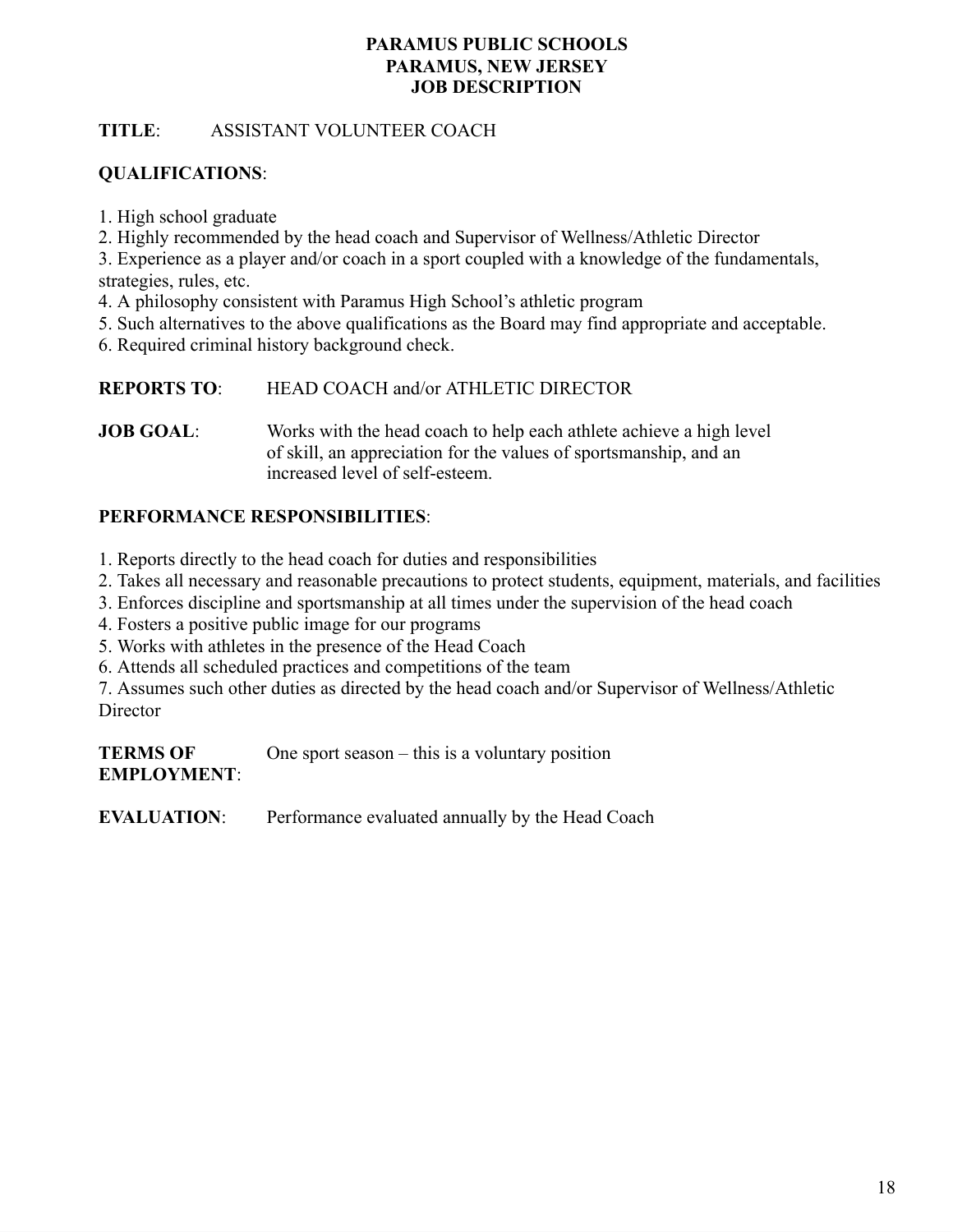#### **PARAMUS PUBLIC SCHOOLS PARAMUS, NEW JERSEY JOB DESCRIPTION**

#### **TITLE**: ASSISTANT VOLUNTEER COACH

#### **QUALIFICATIONS**:

1. High school graduate

2. Highly recommended by the head coach and Supervisor of Wellness/Athletic Director

3. Experience as a player and/or coach in a sport coupled with a knowledge of the fundamentals, strategies, rules, etc.

4. A philosophy consistent with Paramus High School's athletic program

5. Such alternatives to the above qualifications as the Board may find appropriate and acceptable.

6. Required criminal history background check.

**REPORTS TO**: HEAD COACH and/or ATHLETIC DIRECTOR

**JOB GOAL**: Works with the head coach to help each athlete achieve a high level of skill, an appreciation for the values of sportsmanship, and an increased level of self-esteem.

#### **PERFORMANCE RESPONSIBILITIES**:

1. Reports directly to the head coach for duties and responsibilities

- 2. Takes all necessary and reasonable precautions to protect students, equipment, materials, and facilities
- 3. Enforces discipline and sportsmanship at all times under the supervision of the head coach
- 4. Fosters a positive public image for our programs
- 5. Works with athletes in the presence of the Head Coach
- 6. Attends all scheduled practices and competitions of the team

7. Assumes such other duties as directed by the head coach and/or Supervisor of Wellness/Athletic **Director** 

**TERMS OF** One sport season – this is a voluntary position **EMPLOYMENT**:

**EVALUATION**: Performance evaluated annually by the Head Coach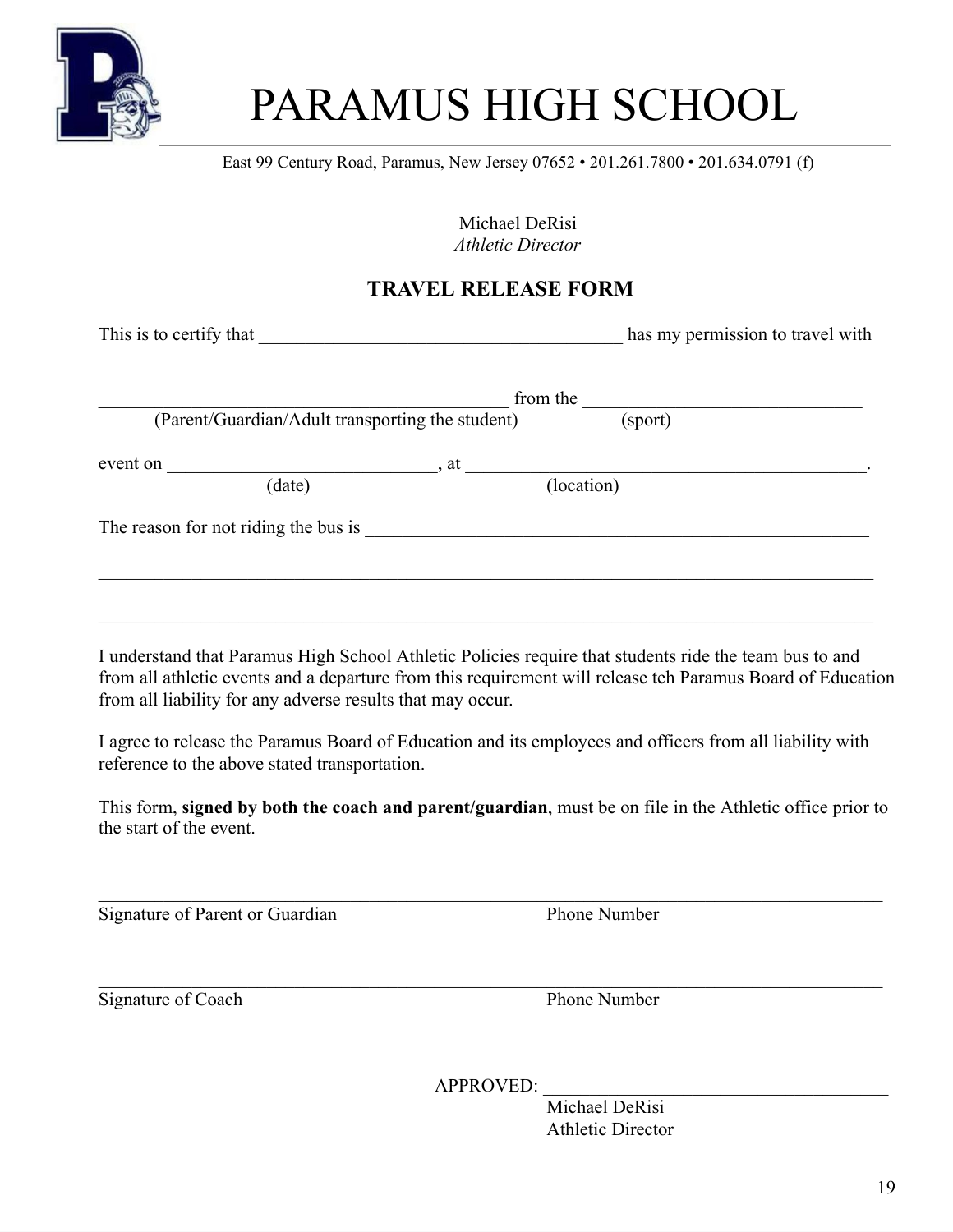

## PARAMUS HIGH SCHOOL

East 99 Century Road, Paramus, New Jersey 07652 • 201.261.7800 • 201.634.0791 (f)

Michael DeRisi *Athletic Director*

### **TRAVEL RELEASE FORM**

This is to certify that  $\qquad \qquad$  has my permission to travel with  $\Box$  from the  $\Box$ (Parent/Guardian/Adult transporting the student) (sport) event on \_\_\_\_\_\_\_\_\_\_\_\_\_\_\_\_\_\_\_\_\_\_\_\_\_\_\_\_\_, at \_\_\_\_\_\_\_\_\_\_\_\_\_\_\_\_\_\_\_\_\_\_\_\_\_\_\_\_\_\_\_\_\_\_\_\_\_\_\_\_\_\_\_. (date) (location) The reason for not riding the bus is \_\_\_\_\_\_\_\_\_\_\_\_\_\_\_\_\_\_\_\_\_\_\_\_\_\_\_\_\_\_\_\_\_\_\_\_\_\_\_\_\_\_\_\_\_\_\_\_\_\_\_\_\_\_

I understand that Paramus High School Athletic Policies require that students ride the team bus to and from all athletic events and a departure from this requirement will release teh Paramus Board of Education from all liability for any adverse results that may occur.

I agree to release the Paramus Board of Education and its employees and officers from all liability with reference to the above stated transportation.

This form, **signed by both the coach and parent/guardian**, must be on file in the Athletic office prior to the start of the event.

Signature of Parent or Guardian Phone Number

Signature of Coach Phone Number

APPROVED: \_\_\_\_\_\_\_\_\_\_\_\_\_\_\_\_\_\_\_\_\_\_\_\_\_\_\_\_\_\_\_\_\_\_\_\_\_

Michael DeRisi Athletic Director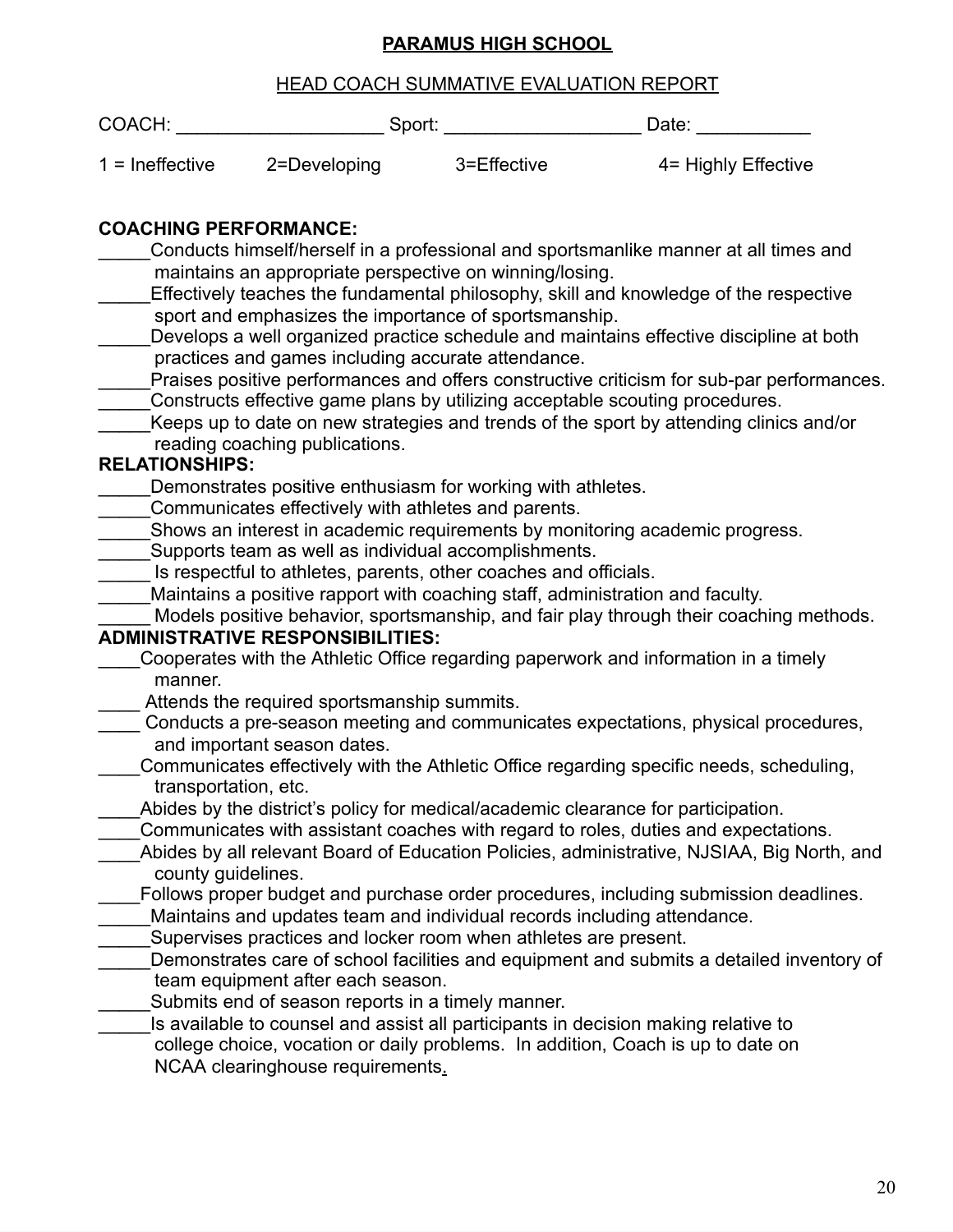#### **PARAMUS HIGH SCHOOL**

|                                 |                                                                                                | PARAMUS FIIUM SUNUUL                                                                                                                                                                                                                                                     |                                                                                                                                                                                                                                                                                                                                                                                                                                                       |
|---------------------------------|------------------------------------------------------------------------------------------------|--------------------------------------------------------------------------------------------------------------------------------------------------------------------------------------------------------------------------------------------------------------------------|-------------------------------------------------------------------------------------------------------------------------------------------------------------------------------------------------------------------------------------------------------------------------------------------------------------------------------------------------------------------------------------------------------------------------------------------------------|
|                                 |                                                                                                | <b>HEAD COACH SUMMATIVE EVALUATION REPORT</b>                                                                                                                                                                                                                            |                                                                                                                                                                                                                                                                                                                                                                                                                                                       |
| COACH:                          |                                                                                                |                                                                                                                                                                                                                                                                          | Date: ___________                                                                                                                                                                                                                                                                                                                                                                                                                                     |
| $1 =$ Ineffective               |                                                                                                | 2=Developing 3=Effective                                                                                                                                                                                                                                                 | 4= Highly Effective                                                                                                                                                                                                                                                                                                                                                                                                                                   |
| <b>COACHING PERFORMANCE:</b>    |                                                                                                | maintains an appropriate perspective on winning/losing.<br>sport and emphasizes the importance of sportsmanship.<br>practices and games including accurate attendance.                                                                                                   | Conducts himself/herself in a professional and sportsmanlike manner at all times and<br>Effectively teaches the fundamental philosophy, skill and knowledge of the respective<br>Develops a well organized practice schedule and maintains effective discipline at both<br>Praises positive performances and offers constructive criticism for sub-par performances.<br>Constructs effective game plans by utilizing acceptable scouting procedures.  |
| <b>RELATIONSHIPS:</b>           | reading coaching publications.                                                                 |                                                                                                                                                                                                                                                                          | Keeps up to date on new strategies and trends of the sport by attending clinics and/or                                                                                                                                                                                                                                                                                                                                                                |
|                                 | Communicates effectively with athletes and parents.<br><b>ADMINISTRATIVE RESPONSIBILITIES:</b> | Demonstrates positive enthusiasm for working with athletes.<br>Supports team as well as individual accomplishments.<br>Is respectful to athletes, parents, other coaches and officials.<br>Maintains a positive rapport with coaching staff, administration and faculty. | Shows an interest in academic requirements by monitoring academic progress.<br>Models positive behavior, sportsmanship, and fair play through their coaching methods.<br>Cooperates with the Athletic Office regarding paperwork and information in a timely                                                                                                                                                                                          |
| manner.<br>transportation, etc. | Attends the required sportsmanship summits.<br>and important season dates.                     |                                                                                                                                                                                                                                                                          | Conducts a pre-season meeting and communicates expectations, physical procedures,<br>Communicates effectively with the Athletic Office regarding specific needs, scheduling,<br>Abides by the district's policy for medical/academic clearance for participation.<br>Communicates with assistant coaches with regard to roles, duties and expectations.<br>Abides by all relevant Board of Education Policies, administrative, NJSIAA, Big North, and |
| county guidelines.              | team equipment after each season.<br>Submits end of season reports in a timely manner.         | Maintains and updates team and individual records including attendance.<br>Supervises practices and locker room when athletes are present.                                                                                                                               | Follows proper budget and purchase order procedures, including submission deadlines.<br>Demonstrates care of school facilities and equipment and submits a detailed inventory of<br>Is available to counsel and assist all participants in decision making relative to<br>college choice, vocation or daily problems. In addition, Coach is up to date on                                                                                             |

NCAA clearinghouse requirements.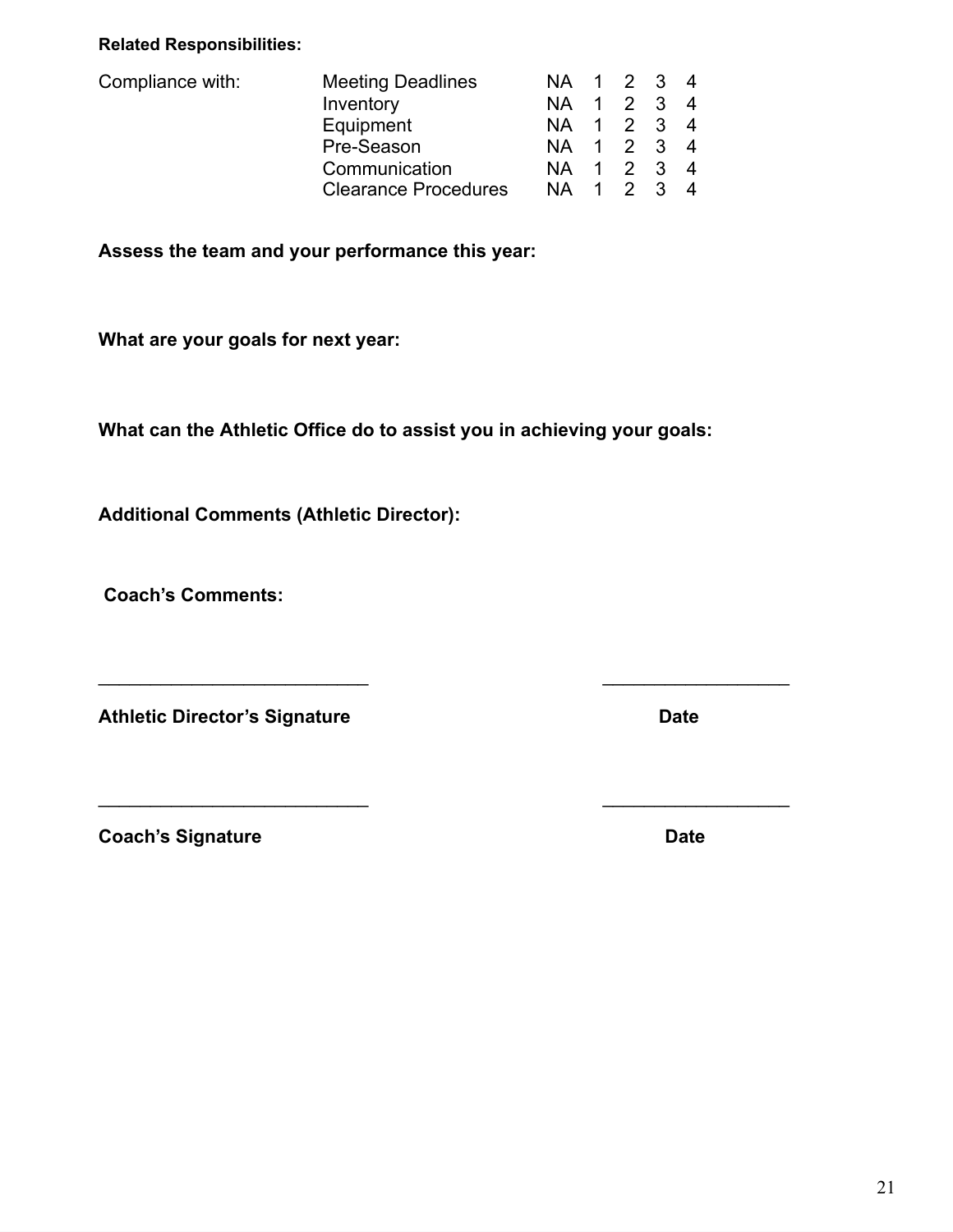#### **Related Responsibilities:**

| Compliance with: | <b>Meeting Deadlines</b>    |            | NA 1 2 3 4 |  |
|------------------|-----------------------------|------------|------------|--|
|                  | Inventory                   | NA 1 2 3 4 |            |  |
|                  | Equipment                   | NA 1 2 3 4 |            |  |
|                  | Pre-Season                  | NA 1 2 3 4 |            |  |
|                  | Communication               | NA 1 2 3 4 |            |  |
|                  | <b>Clearance Procedures</b> | NA 1 2 3 4 |            |  |

**Assess the team and your performance this year:**

**What are your goals for next year:**

**What can the Athletic Office do to assist you in achieving your goals:**

 $\overline{\phantom{a}}$  , and the contract of the contract of the contract of the contract of the contract of the contract of the contract of the contract of the contract of the contract of the contract of the contract of the contrac

 $\overline{\phantom{a}}$  , and the contract of the contract of the contract of the contract of the contract of the contract of the contract of the contract of the contract of the contract of the contract of the contract of the contrac

**Additional Comments (Athletic Director):**

**Coach's Comments:**

**Athletic Director's Signature Date**

**Coach's Signature Date** Date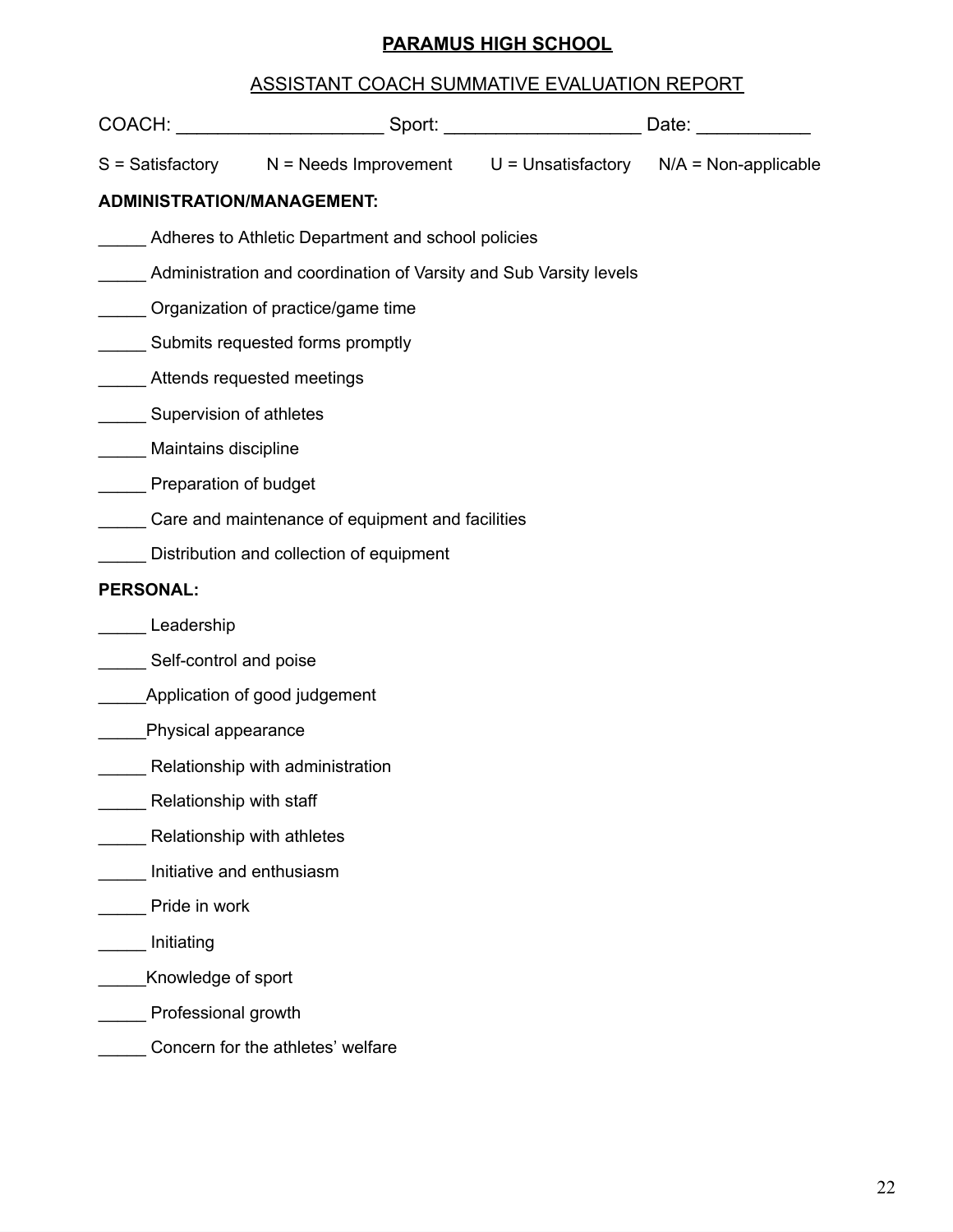#### **PARAMUS HIGH SCHOOL**

#### ASSISTANT COACH SUMMATIVE EVALUATION REPORT

|                                        | COACH: ___________________________Sport: ___________________________Date: _____________   |  |  |  |  |  |
|----------------------------------------|-------------------------------------------------------------------------------------------|--|--|--|--|--|
|                                        | $S = S$ atisfactory $N = N$ eeds Improvement $U =$ Unsatisfactory $N/A = N$ on-applicable |  |  |  |  |  |
| <b>ADMINISTRATION/MANAGEMENT:</b>      |                                                                                           |  |  |  |  |  |
|                                        | Adheres to Athletic Department and school policies                                        |  |  |  |  |  |
|                                        | Administration and coordination of Varsity and Sub Varsity levels                         |  |  |  |  |  |
|                                        | Organization of practice/game time                                                        |  |  |  |  |  |
|                                        | Submits requested forms promptly                                                          |  |  |  |  |  |
| Attends requested meetings             |                                                                                           |  |  |  |  |  |
| Supervision of athletes                |                                                                                           |  |  |  |  |  |
| Maintains discipline                   |                                                                                           |  |  |  |  |  |
| <b>Example 2 Preparation of budget</b> |                                                                                           |  |  |  |  |  |
|                                        | Care and maintenance of equipment and facilities                                          |  |  |  |  |  |
|                                        | Distribution and collection of equipment                                                  |  |  |  |  |  |
| <b>PERSONAL:</b>                       |                                                                                           |  |  |  |  |  |
| Leadership                             |                                                                                           |  |  |  |  |  |
| Self-control and poise                 |                                                                                           |  |  |  |  |  |
|                                        | Application of good judgement                                                             |  |  |  |  |  |
| Physical appearance                    |                                                                                           |  |  |  |  |  |
|                                        | Relationship with administration                                                          |  |  |  |  |  |
| Relationship with staff                |                                                                                           |  |  |  |  |  |
|                                        | Relationship with athletes                                                                |  |  |  |  |  |
|                                        | Initiative and enthusiasm                                                                 |  |  |  |  |  |
| Pride in work                          |                                                                                           |  |  |  |  |  |
| Initiating                             |                                                                                           |  |  |  |  |  |
| Knowledge of sport                     |                                                                                           |  |  |  |  |  |
| Professional growth                    |                                                                                           |  |  |  |  |  |
|                                        | Concern for the athletes' welfare                                                         |  |  |  |  |  |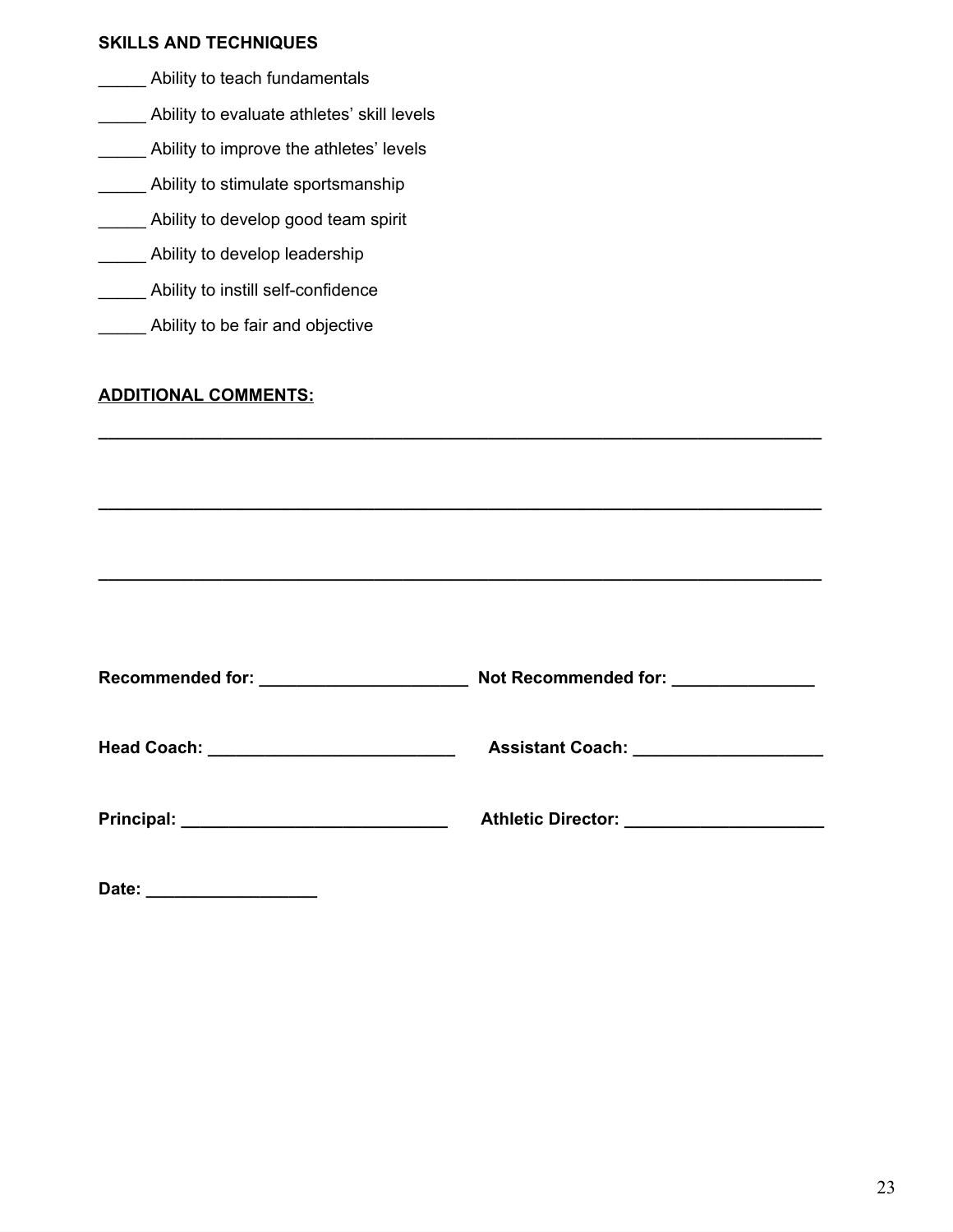#### **SKILLS AND TECHNIQUES**

- Ability to teach fundamentals
- **\_\_\_\_\_** Ability to evaluate athletes' skill levels
- Ability to improve the athletes' levels
- \_\_\_\_\_ Ability to stimulate sportsmanship
- **\_\_\_\_\_\_** Ability to develop good team spirit
- **LETT** Ability to develop leadership
- Ability to instill self-confidence
- Ability to be fair and objective

#### **ADDITIONAL COMMENTS:**

| <b>Recommended for:</b><br><u> 1980 - Jan James Barnett, martin de la populación de la propia de la propia de la propia de la propia de la p</u> | Not Recommended for: <u>_______________</u> |
|--------------------------------------------------------------------------------------------------------------------------------------------------|---------------------------------------------|
|                                                                                                                                                  |                                             |
|                                                                                                                                                  | Athletic Director: _____________________    |

**\_\_\_\_\_\_\_\_\_\_\_\_\_\_\_\_\_\_\_\_\_\_\_\_\_\_\_\_\_\_\_\_\_\_\_\_\_\_\_\_\_\_\_\_\_\_\_\_\_\_\_\_\_\_\_\_\_\_\_\_\_\_\_\_\_\_\_\_\_\_\_\_\_\_\_\_**

**\_\_\_\_\_\_\_\_\_\_\_\_\_\_\_\_\_\_\_\_\_\_\_\_\_\_\_\_\_\_\_\_\_\_\_\_\_\_\_\_\_\_\_\_\_\_\_\_\_\_\_\_\_\_\_\_\_\_\_\_\_\_\_\_\_\_\_\_\_\_\_\_\_\_\_\_**

**\_\_\_\_\_\_\_\_\_\_\_\_\_\_\_\_\_\_\_\_\_\_\_\_\_\_\_\_\_\_\_\_\_\_\_\_\_\_\_\_\_\_\_\_\_\_\_\_\_\_\_\_\_\_\_\_\_\_\_\_\_\_\_\_\_\_\_\_\_\_\_\_\_\_\_\_**

**Date: \_\_\_\_\_\_\_\_\_\_\_\_\_\_\_\_\_\_**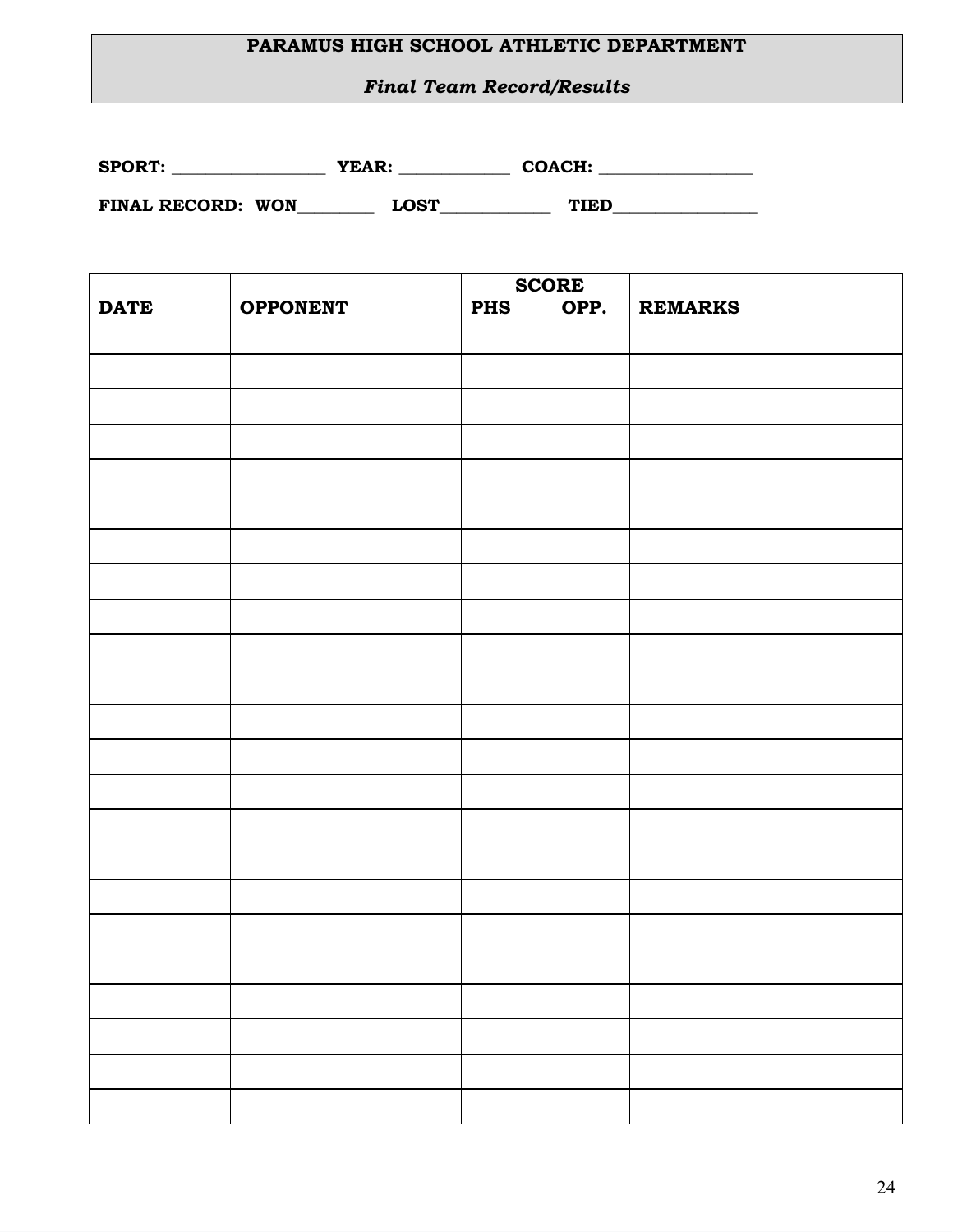#### **PARAMUS HIGH SCHOOL ATHLETIC DEPARTMENT**

*Final Team Record/Results*

| <b>SPORT:</b> | YEAR: | COACH: |
|---------------|-------|--------|
|               |       |        |

**FINAL RECORD: WON\_\_\_\_\_\_\_\_\_ LOST\_\_\_\_\_\_\_\_\_\_\_\_\_ TIED\_\_\_\_\_\_\_\_\_\_\_\_\_\_\_\_\_**

|             |                 | <b>SCORE</b>       |                |
|-------------|-----------------|--------------------|----------------|
| <b>DATE</b> | <b>OPPONENT</b> | OPP.<br><b>PHS</b> | <b>REMARKS</b> |
|             |                 |                    |                |
|             |                 |                    |                |
|             |                 |                    |                |
|             |                 |                    |                |
|             |                 |                    |                |
|             |                 |                    |                |
|             |                 |                    |                |
|             |                 |                    |                |
|             |                 |                    |                |
|             |                 |                    |                |
|             |                 |                    |                |
|             |                 |                    |                |
|             |                 |                    |                |
|             |                 |                    |                |
|             |                 |                    |                |
|             |                 |                    |                |
|             |                 |                    |                |
|             |                 |                    |                |
|             |                 |                    |                |
|             |                 |                    |                |
|             |                 |                    |                |
|             |                 |                    |                |
|             |                 |                    |                |